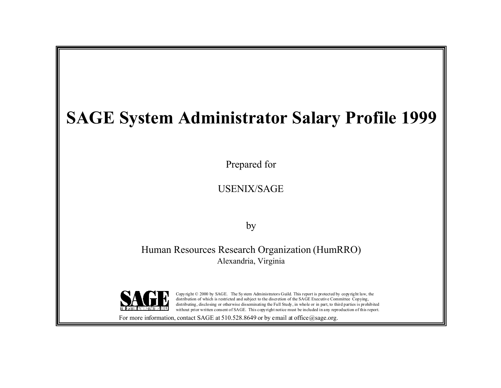# **SAGE System Administrator Salary Profile 1999**

Prepared for

USENIX/SAGE

by

Human Resources Research Organization (HumRRO) Alexandria, Virginia



Copy right © 2000 by SAGE. The Sy stem Administrators Guild. This report is protected by copyright law, the distribution of which is restricted and subject to the discretion of the SAGE Executive Committee Copying, distributing, disclosing or otherwise disseminating the Full Study, in whole or in part, to third parties is prohibited without prior written consent of SAGE. This copyright notice must be included in any reproduction of this report.

For more information, contact SAGE at  $510.528.8649$  or by email at office  $\omega$ sage.org.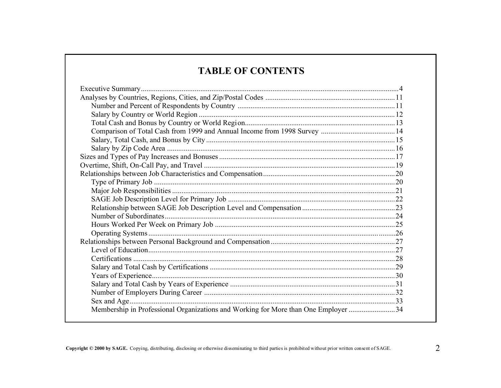# **TABLE OF CONTENTS**

| Membership in Professional Organizations and Working for More than One Employer 34 |  |
|------------------------------------------------------------------------------------|--|
|                                                                                    |  |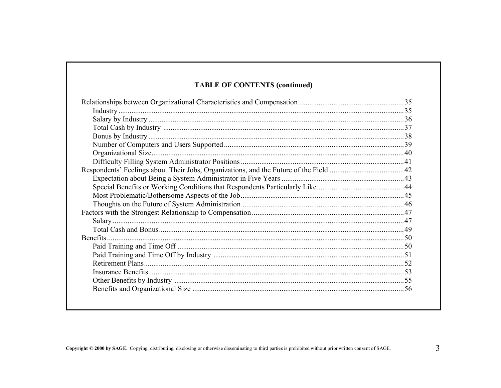#### **TABLE OF CONTENTS (continued)**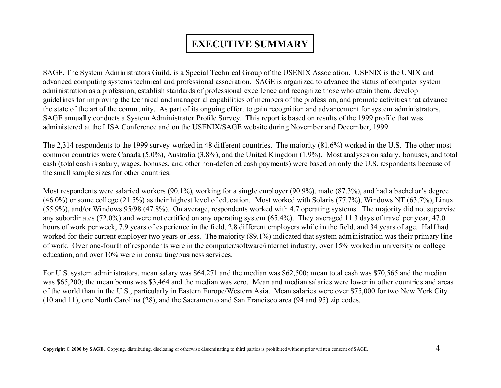# **EXECUTIVE SUMMARY**

SAGE, The System Administrators Guild, is a Special Technical Group of the USENIX Association. USENIX is the UNIX and advanced computing systems technical and professional association. SAGE is organized to advance the status of computer system administration as a profession, establish standards of professional excellence and recognize those who attain them, develop guidelines for improving the technical and managerial capabilities of members of the profession, and promote activities that advance the state of the art of the community. As part of its ongoing effort to gain recognition and advancement for system administrators, SAGE annually conducts a System Administrator Profile Survey. This report is based on results of the 1999 profile that was administered at the LISA Conference and on the USENIX/SAGE website during November and December, 1999.

The 2,314 respondents to the 1999 survey worked in 48 different countries. The majority (81.6%) worked in the U.S. The other most common countries were Canada (5.0%), Australia (3.8%), and the United Kingdom (1.9%). Most analyses on salary, bonuses, and total cash (total cash is salary, wages, bonuses, and other non-deferred cash payments) were based on only the U.S. respondents because of the small sample sizes for other countries.

Most respondents were salaried workers (90.1%), working for a single employer (90.9%), male (87.3%), and had a bachelor's degree (46.0%) or some college (21.5%) as their highest level of education. Most worked with Solaris (77.7%), Windows NT (63.7%), Linux (55.9%), and/or Windows 95/98 (47.8%). On average, respondents worked with 4.7 operating systems. The majority did not supervise any subordinates (72.0%) and were not certified on any operating system (65.4%). They averaged 11.3 days of travel per year, 47.0 hours of work per week, 7.9 years of experience in the field, 2.8 different employers while in the field, and 34 years of age. Half had worked for their current employer two years or less. The majority (89.1%) indicated that system administration was their primary line of work. Over one-fourth of respondents were in the computer/software/internet industry, over 15% worked in university or college education, and over 10% were in consulting/business services.

For U.S. system administrators, mean salary was \$64,271 and the median was \$62,500; mean total cash was \$70,565 and the median was \$65,200; the mean bonus was \$3,464 and the median was zero. Mean and median salaries were lower in other countries and areas of the world than in the U.S., particularly in Eastern Europe/Western Asia. Mean salaries were over \$75,000 for two New York City (10 and 11), one North Carolina (28), and the Sacramento and San Francisco area (94 and 95) zip codes.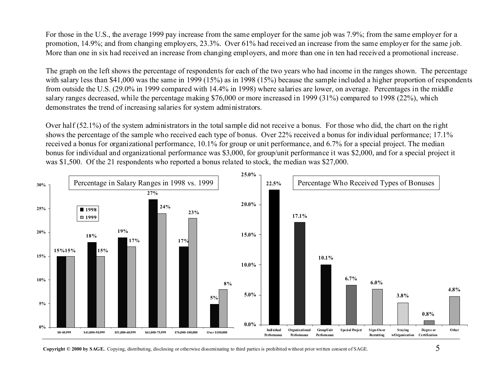For those in the U.S., the average 1999 pay increase from the same employer for the same job was 7.9%; from the same employer for a promotion, 14.9%; and from changing employers, 23.3%. Over 61% had received an increase from the same employer for the same job. More than one in six had received an increase from changing employers, and more than one in ten had received a promotional increase.

The graph on the left shows the percentage of respondents for each of the two years who had income in the ranges shown. The percentage with salary less than \$41,000 was the same in 1999 (15%) as in 1998 (15%) because the sample included a higher proportion of respondents from outside the U.S. (29.0% in 1999 compared with 14.4% in 1998) where salaries are lower, on average. Percentages in the middle salary ranges decreased, while the percentage making \$76,000 or more increased in 1999 (31%) compared to 1998 (22%), which demonstrates the trend of increasing salaries for system administrators.

Over half (52.1%) of the system administrators in the total sample did not receive a bonus. For those who did, the chart on the right shows the percentage of the sample who received each type of bonus. Over 22% received a bonus for individual performance; 17.1% received a bonus for organizational performance, 10.1% for group or unit performance, and 6.7% for a special project. The median bonus for individual and organizational performance was \$3,000, for group/unit performance it was \$2,000, and for a special project it was \$1,500. Of the 21 respondents who reported a bonus related to stock, the median was \$27,000.



**Copyright © 2000 by SAGE.** Copying, distributing, disclosing or otherwise disseminating to third parties is prohibited without prior written consent of SAGE.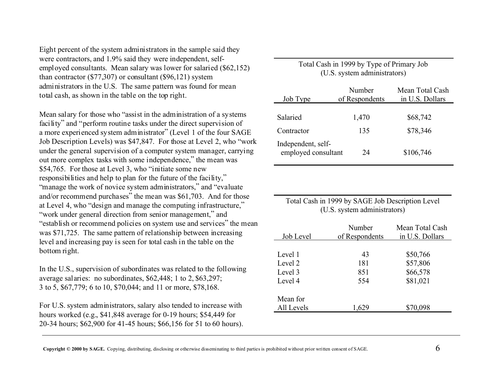Eight percent of the system administrators in the sample said they were contractors, and 1.9% said they were independent, selfemployed consultants. Mean salary was lower for salaried (\$62,152) than contractor (\$77,307) or consultant (\$96,121) system administrators in the U.S. The same pattern was found for mean total cash, as shown in the table on the top right.

Mean salary for those who "assist in the administration of a systems facility" and "perform routine tasks under the direct supervision of a more experienced system administrator" (Level 1 of the four SAGE Job Description Levels) was \$47,847. For those at Level 2, who "work under the general supervision of a computer system manager, carrying out more complex tasks with some independence," the mean was \$54,765. For those at Level 3, who "initiate some new responsibilities and help to plan for the future of the facility," "manage the work of novice system administrators," and "evaluate" and/or recommend purchases" the mean was \$61,703. And for those at Level 4, who "design and manage the computing infrastructure," "work under general direction from senior management," and "establish or recommend policies on system use and services" the mean was \$71,725. The same pattern of relationship between increasing level and increasing pay is seen for total cash in the table on the bottom right.

In the U.S., supervision of subordinates was related to the following average salaries: no subordinates, \$62,448; 1 to 2, \$63,297; 3 to 5, \$67,779; 6 to 10, \$70,044; and 11 or more, \$78,168.

For U.S. system administrators, salary also tended to increase with hours worked (e.g., \$41,848 average for 0-19 hours; \$54,449 for 20-34 hours; \$62,900 for 41-45 hours; \$66,156 for 51 to 60 hours).

#### Total Cash in 1999 by Type of Primary Job (U.S. system administrators)

| Job Type                                  | Number<br>of Respondents | Mean Total Cash<br>in U.S. Dollars |
|-------------------------------------------|--------------------------|------------------------------------|
| Salaried                                  | 1,470                    | \$68,742                           |
| Contractor                                | 135                      | \$78,346                           |
| Independent, self-<br>employed consultant | 24                       | \$106,746                          |

#### Total Cash in 1999 by SAGE Job Description Level (U.S. system administrators)

| Job Level  | Number<br>of Respondents | Mean Total Cash<br>in U.S. Dollars |
|------------|--------------------------|------------------------------------|
|            |                          |                                    |
| Level 1    | 43                       | \$50,766                           |
| Level 2    | 181                      | \$57,806                           |
| Level 3    | 851                      | \$66,578                           |
| Level 4    | 554                      | \$81,021                           |
| Mean for   |                          |                                    |
| All Levels | 1 629                    | \$70,098                           |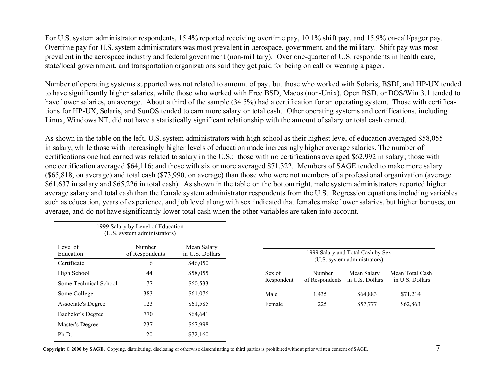For U.S. system administrator respondents, 15.4% reported receiving overtime pay, 10.1% shift pay, and 15.9% on-call/pager pay. Overtime pay for U.S. system administrators was most prevalent in aerospace, government, and the military. Shift pay was most prevalent in the aerospace industry and federal government (non-military). Over one-quarter of U.S. respondents in health care, state/local government, and transportation organizations said they get paid for being on call or wearing a pager.

Number of operating systems supported was not related to amount of pay, but those who worked with Solaris, BSDI, and HP-UX tended to have significantly higher salaries, while those who worked with Free BSD, Macos (non-Unix), Open BSD, or DOS/Win 3.1 tended to have lower salaries, on average. About a third of the sample (34.5%) had a certification for an operating system. Those with certifications for HP-UX, Solaris, and SunOS tended to earn more salary or total cash. Other operating systems and certifications, including Linux, Windows NT, did not have a statistically significant relationship with the amount of salary or total cash earned.

As shown in the table on the left, U.S. system administrators with high school as their highest level of education averaged \$58,055 in salary, while those with increasingly higher levels of education made increasingly higher average salaries. The number of certifications one had earned was related to salary in the U.S.: those with no certifications averaged \$62,992 in salary; those with one certification averaged \$64,116; and those with six or more averaged \$71,322. Members of SAGE tended to make more salary (\$65,818, on average) and total cash (\$73,990, on average) than those who were not members of a professional organization (average \$61,637 in salary and \$65,226 in total cash). As shown in the table on the bottom right, male system administrators reported higher average salary and total cash than the female system administrator respondents from the U.S. Regression equations including variables such as education, years of experience, and job level along with sex indicated that females make lower salaries, but higher bonuses, on average, and do not have significantly lower total cash when the other variables are taken into account.

|                       | 1999 Salary by Level of Education<br>(U.S. system administrators) |                                |            |                                                                   |                 |                 |  |
|-----------------------|-------------------------------------------------------------------|--------------------------------|------------|-------------------------------------------------------------------|-----------------|-----------------|--|
| Level of<br>Education | Number<br>of Respondents                                          | Mean Salary<br>in U.S. Dollars |            | 1999 Salary and Total Cash by Sex<br>(U.S. system administrators) |                 |                 |  |
| Certificate           | 6                                                                 | \$46,050                       |            |                                                                   |                 |                 |  |
| High School           | 44                                                                | \$58,055                       | Sex of     | Number                                                            | Mean Salary     | Mean Total Cash |  |
| Some Technical School | 77                                                                | \$60,533                       | Respondent | of Respondents                                                    | in U.S. Dollars | in U.S. Dollars |  |
| Some College          | 383                                                               | \$61,076                       | Male       | 1,435                                                             | \$64,883        | \$71,214        |  |
| Associate's Degree    | 123                                                               | \$61,585                       | Female     | 225                                                               | \$57,777        | \$62,863        |  |
| Bachelor's Degree     | 770                                                               | \$64,641                       |            |                                                                   |                 |                 |  |
| Master's Degree       | 237                                                               | \$67,998                       |            |                                                                   |                 |                 |  |
| Ph.D.                 | 20                                                                | \$72,160                       |            |                                                                   |                 |                 |  |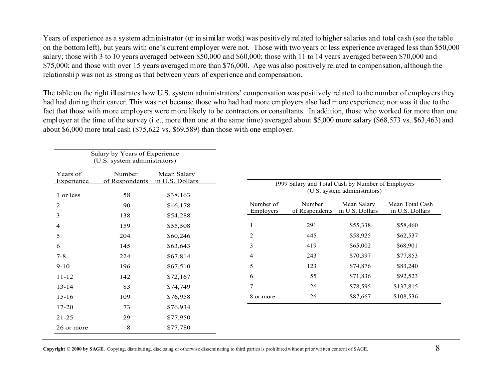Years of experience as a system administrator (or in similar work) was positively related to higher salaries and total cash (see the table on the bottom left), but years with one's current employer were not. Those with two years or less experience averaged less than \$50,000 salary; those with 3 to 10 years averaged between \$50,000 and \$60,000; those with 11 to 14 years averaged between \$70,000 and \$75,000; and those with over 15 years averaged more than \$76,000. Age was also positively related to compensation, although the relationship was not as strong as that between years of experience and compensation.

The table on the right illustrates how U.S. system administrators' compensation was positively related to the number of employers they had had during their career. This was not because those who had had more employers also had more experience; nor was it due to the fact that those with more employers were more likely to be contractors or consultants. In addition, those who worked for more than one employer at the time of the survey (i.e., more than one at the same time) averaged about \$5,000 more salary (\$68,573 vs. \$63,463) and about \$6,000 more total cash (\$75,622 vs. \$69,589) than those with one employer.

|                        | Salary by Years of Experience<br>(U.S. system administrators) |                                |           |                                                   |                              |                 |
|------------------------|---------------------------------------------------------------|--------------------------------|-----------|---------------------------------------------------|------------------------------|-----------------|
| Years of<br>Experience | Number<br>of Respondents                                      | Mean Salary<br>in U.S. Dollars |           | 1999 Salary and Total Cash by Number of Employers | (U.S. system administrators) |                 |
| 1 or less              | 58                                                            | \$38,163                       |           |                                                   |                              |                 |
| 2                      | 90                                                            | \$46,178                       | Number of | Number                                            | Mean Salary                  | Mean Total Cash |
| 3                      | 138                                                           | \$54,288                       | Employers | of Respondents                                    | in U.S. Dollars              | in U.S. Dollars |
| 4                      | 159                                                           | \$55,508                       |           | 291                                               | \$55,338                     | \$58,460        |
| 5                      | 204                                                           | \$60,246                       | 2         | 445                                               | \$58,925                     | \$62,537        |
| 6                      | 145                                                           | \$63,643                       | 3         | 419                                               | \$65,002                     | \$68,901        |
| $7 - 8$                | 224                                                           | \$67,814                       | 4         | 243                                               | \$70,397                     | \$77,853        |
| $9 - 10$               | 196                                                           | \$67,510                       | 5         | 123                                               | \$74,876                     | \$83,240        |
| $11 - 12$              | 142                                                           | \$72,167                       | 6         | 55                                                | \$71,836                     | \$92,523        |
| $13 - 14$              | 83                                                            | \$74,749                       | 7         | 26                                                | \$78,595                     | \$137,815       |
| $15 - 16$              | 109                                                           | \$76,958                       | 8 or more | 26                                                | \$87,667                     | \$108,536       |
| $17 - 20$              | 73                                                            | \$76,934                       |           |                                                   |                              |                 |
| $21 - 25$              | 29                                                            | \$77,950                       |           |                                                   |                              |                 |
| 26 or more             | $8\,$                                                         | \$77,780                       |           |                                                   |                              |                 |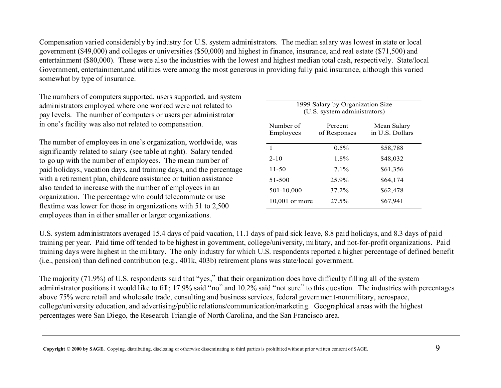Compensation varied considerably by industry for U.S. system administrators. The median salary was lowest in state or local government (\$49,000) and colleges or universities (\$50,000) and highest in finance, insurance, and real estate (\$71,500) and entertainment (\$80,000). These were also the industries with the lowest and highest median total cash, respectively. State/local Government, entertainment,and utilities were among the most generous in providing fully paid insurance, although this varied somewhat by type of insurance.

The numbers of computers supported, users supported, and system administrators employed where one worked were not related to pay levels. The number of computers or users per administrator in one's facility was also not related to compensation.

The number of employees in one's organization, worldwide, was significantly related to salary (see table at right). Salary tended to go up with the number of employees. The mean number of paid holidays, vacation days, and training days, and the percentage with a retirement plan, childcare assistance or tuition assistance also tended to increase with the number of employees in an organization. The percentage who could telecommute or use flextime was lower for those in organizations with 51 to 2,500 employees than in either smaller or larger organizations.

| 1999 Salary by Organization Size<br>(U.S. system administrators) |                         |                                |  |  |  |  |  |
|------------------------------------------------------------------|-------------------------|--------------------------------|--|--|--|--|--|
| Number of<br>Employees                                           | Percent<br>of Responses | Mean Salary<br>in U.S. Dollars |  |  |  |  |  |
| 1                                                                | $0.5\%$                 | \$58,788                       |  |  |  |  |  |
| $2 - 10$                                                         | $1.8\%$                 | \$48,032                       |  |  |  |  |  |
| $11 - 50$                                                        | $7.1\%$                 | \$61,356                       |  |  |  |  |  |
| 51-500                                                           | 25.9%                   | \$64,174                       |  |  |  |  |  |
| 501-10,000                                                       | 37.2%                   | \$62,478                       |  |  |  |  |  |
| $10,001$ or more                                                 | 27.5%                   | \$67,941                       |  |  |  |  |  |

U.S. system administrators averaged 15.4 days of paid vacation, 11.1 days of paid sick leave, 8.8 paid holidays, and 8.3 days of paid training per year. Paid time off tended to be highest in government, college/university, military, and not-for-profit organizations. Paid training days were highest in the military. The only industry for which U.S. respondents reported a higher percentage of defined benefit (i.e., pension) than defined contribution (e.g., 401k, 403b) retirement plans was state/local government.

The majority (71.9%) of U.S. respondents said that "yes," that their organization does have difficulty filling all of the system administrator positions it would like to fill; 17.9% said "no" and 10.2% said "not sure" to this question. The industries with percentages above 75% were retail and wholesale trade, consulting and business services, federal government-nonmilitary, aerospace, college/university education, and advertising/public relations/communication/marketing. Geographical areas with the highest percentages were San Diego, the Research Triangle of North Carolina, and the San Francisco area.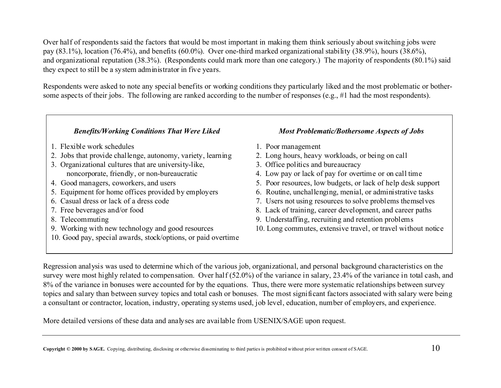Over half of respondents said the factors that would be most important in making them think seriously about switching jobs were pay (83.1%), location (76.4%), and benefits (60.0%). Over one-third marked organizational stability (38.9%), hours (38.6%), and organizational reputation (38.3%). (Respondents could mark more than one category.) The majority of respondents (80.1%) said they expect to still be a system administrator in five years.

Respondents were asked to note any special benefits or working conditions they particularly liked and the most problematic or bothersome aspects of their jobs. The following are ranked according to the number of responses (e.g., #1 had the most respondents).

#### *Benefits/Working Conditions That Were Liked Most Problematic/Bothersome Aspects of Jobs*

- 1. Flexible work schedules 1. Poor management
- 2. Jobs that provide challenge, autonomy, variety, learning 2. Long hours, heavy workloads, or being on call
- 3. Organizational cultures that are university-like, 3. Office politics and bureaucracy
- 
- 
- 
- 
- 
- 
- 10. Good pay, special awards, stock/options, or paid overtime

- 
- 
- 
- noncorporate, friendly, or non-bureaucratic 4. Low pay or lack of pay for overtime or on call time
- 4. Good managers, coworkers, and users 5. Poor resources, low budgets, or lack of help desk support
- 5. Equipment for home offices provided by employers 6. Routine, unchallenging, menial, or administrative tasks
- 6. Casual dress or lack of a dress code 7. Users not using resources to solve problems themselves
- 7. Free beverages and/or food 8. Lack of training, career development, and career paths
- 8. Telecommuting 9. Understaffing, recruiting and retention problems
- 9. Working with new technology and good resources 10. Long commutes, extensive travel, or travel without notice

Regression analysis was used to determine which of the various job, organizational, and personal background characteristics on the survey were most highly related to compensation. Over half (52.0%) of the variance in salary, 23.4% of the variance in total cash, and 8% of the variance in bonuses were accounted for by the equations. Thus, there were more systematic relationships between survey topics and salary than between survey topics and total cash or bonuses. The most significant factors associated with salary were being a consultant or contractor, location, industry, operating systems used, job level, education, number of employers, and experience.

More detailed versions of these data and analyses are available from USENIX/SAGE upon request.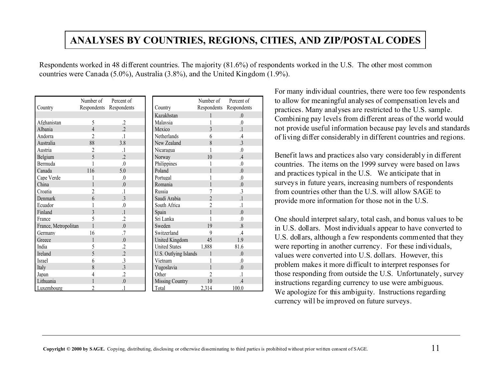# **ANALYSES BY COUNTRIES, REGIONS, CITIES, AND ZIP/POSTAL CODES**

Respondents worked in 48 different countries. The majority (81.6%) of respondents worked in the U.S. The other most common countries were Canada (5.0%), Australia (3.8%), and the United Kingdom (1.9%).

|                      | Number of                 | Percent of                |                        | Number of      | Percent of              |
|----------------------|---------------------------|---------------------------|------------------------|----------------|-------------------------|
| Country              | Respondents               | Respondents               | Country                | Respondents    | Respondents             |
|                      |                           |                           | Kazakhstan             |                | $\Omega$                |
| Afghanistan          | 5                         | $\cdot$                   | Malaysia               |                | $\Omega$                |
| Albania              | 4                         | $\overline{\mathcal{L}}$  | Mexico                 |                |                         |
| Andorra              | $\mathfrak{D}$            | $\overline{1}$            | <b>Netherlands</b>     | 6              | $\overline{4}$          |
| Australia            | 88                        | 3.8                       | New Zealand            | 8              | $\mathcal{E}$           |
| Austria              | $\overline{c}$            | $\cdot$ 1                 | Nicaragua              |                | $\Omega$                |
| Belgium              | 5                         | $\overline{\mathfrak{L}}$ | Norway                 | 10             | $\overline{A}$          |
| Bermuda              |                           | $\Omega$                  | Philippines            |                | $\Omega$                |
| Canada               | 116                       | 5.0                       | Poland                 |                | $\theta$                |
| Cape Verde           |                           | $\Omega$                  | Portugal               |                | $\Omega$                |
| China                |                           | 0                         | Romania                |                | $\Omega$                |
| Croatia              | $\mathfrak{D}$            |                           | Russia                 |                | $\overline{\mathbf{3}}$ |
| Denmark              | 6                         | $\overline{3}$            | Saudi Arabia           | $\mathfrak{D}$ |                         |
| Ecuador              |                           | $\Omega$                  | South Africa           | $\overline{c}$ |                         |
| Finland              | $\mathbf{3}$              | $\overline{1}$            | Spain                  |                | $\Omega$                |
| France               | 5                         | $\overline{2}$            | Sri Lanka              |                | $\Omega$                |
| France, Metropolitan |                           | $\Omega$                  | Sweden                 | 19             | $\overline{8}$          |
| Germany              | 16                        | 7                         | Switzerland            | q              | $\overline{4}$          |
| Greece               |                           | $\Omega$                  | United Kingdom         | 45             | 1.9                     |
| India                | 5                         | $\overline{c}$            | <b>United States</b>   | 1,888          | 81.6                    |
| <b>Ireland</b>       | 5                         | $\overline{2}$            | U.S. Outlying Islands  |                | $\Omega$                |
| Israel               | 6                         | 3                         | Vietnam                |                | $\theta$                |
| Italy                | 8                         | 3                         | Yugoslavia             |                | $\theta$                |
| Japan                | 4                         | $\overline{c}$            | Other                  |                |                         |
| Lithuania            |                           | $\theta$                  | <b>Missing Country</b> | 10             |                         |
| Luxembourg           | $\overline{\mathfrak{C}}$ |                           | Total                  | 2,314          | 100.0                   |

For many individual countries, there were too few respondents to allow for meaningful analyses of compensation levels and practices. Many analyses are restricted to the U.S. sample. Combining pay levels from different areas of the world would not provide useful information because pay levels and standards of living differ considerably in different countries and regions.

Benefit laws and practices also vary considerably in different countries. The items on the 1999 survey were based on laws and practices typical in the U.S. We anticipate that in surveys in future years, increasing numbers of respondents from countries other than the U.S. will allow SAGE toprovide more information for those not in the U.S.

One should interpret salary, total cash, and bonus values to be in U.S. dollars. Most individuals appear to have converted to U.S. dollars, although a few respondents commented that they were reporting in another currency. For these individuals, values were converted into U.S. dollars. However, this problem makes it more difficult to interpret responses for those responding from outside the U.S. Unfortunately, survey instructions regarding currency to use were ambiguous. We apologize for this ambiguity. Instructions regarding currency will be improved on future surveys.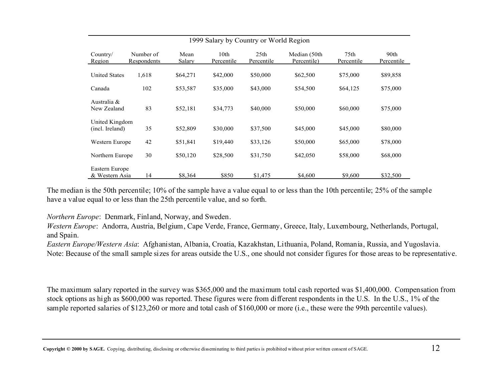| 1999 Salary by Country or World Region |                          |                |                    |                    |                             |                                |                    |  |
|----------------------------------------|--------------------------|----------------|--------------------|--------------------|-----------------------------|--------------------------------|--------------------|--|
| Country/<br>Region                     | Number of<br>Respondents | Mean<br>Salary | 10th<br>Percentile | 25th<br>Percentile | Median (50th<br>Percentile) | 75 <sub>th</sub><br>Percentile | 90th<br>Percentile |  |
| <b>United States</b>                   | 1,618                    | \$64,271       | \$42,000           | \$50,000           | \$62,500                    | \$75,000                       | \$89,858           |  |
| Canada                                 | 102                      | \$53,587       | \$35,000           | \$43,000           | \$54,500                    | \$64,125                       | \$75,000           |  |
| Australia &<br>New Zealand             | 83                       | \$52,181       | \$34,773           | \$40,000           | \$50,000                    | \$60,000                       | \$75,000           |  |
| United Kingdom<br>(incl. Ireland)      | 35                       | \$52,809       | \$30,000           | \$37,500           | \$45,000                    | \$45,000                       | \$80,000           |  |
| Western Europe                         | 42                       | \$51,841       | \$19,440           | \$33,126           | \$50,000                    | \$65,000                       | \$78,000           |  |
| Northern Europe                        | 30                       | \$50,120       | \$28,500           | \$31,750           | \$42,050                    | \$58,000                       | \$68,000           |  |
| Eastern Europe<br>& Western Asia       | 14                       | \$8,364        | \$850              | \$1,475            | \$4,600                     | \$9,600                        | \$32,500           |  |

The median is the 50th percentile; 10% of the sample have a value equal to or less than the 10th percentile; 25% of the sample have a value equal to or less than the 25th percentile value, and so forth.

*Northern Europe*: Denmark, Finland, Norway, and Sweden.

*Western Europe*: Andorra, Austria, Belgium, Cape Verde, France, Germany, Greece, Italy, Luxembourg, Netherlands, Portugal, and Spain.

*Eastern Europe/Western Asia*: Afghanistan, Albania, Croatia, Kazakhstan, Lithuania, Poland, Romania, Russia, and Yugoslavia. Note: Because of the small sample sizes for areas outside the U.S., one should not consider figures for those areas to be representative.

The maximum salary reported in the survey was \$365,000 and the maximum total cash reported was \$1,400,000. Compensation from stock options as high as \$600,000 was reported. These figures were from different respondents in the U.S. In the U.S., 1% of the sample reported salaries of \$123,260 or more and total cash of \$160,000 or more (i.e., these were the 99th percentile values).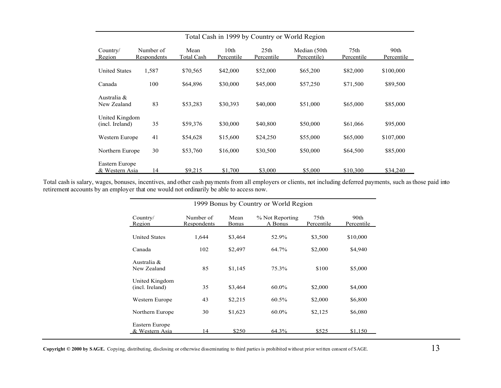| Total Cash in 1999 by Country or World Region |                          |                    |                                |                                |                             |                    |                    |  |
|-----------------------------------------------|--------------------------|--------------------|--------------------------------|--------------------------------|-----------------------------|--------------------|--------------------|--|
| Country/<br>Region                            | Number of<br>Respondents | Mean<br>Total Cash | 10 <sub>th</sub><br>Percentile | 25 <sub>th</sub><br>Percentile | Median (50th<br>Percentile) | 75th<br>Percentile | 90th<br>Percentile |  |
| <b>United States</b>                          | 1,587                    | \$70,565           | \$42,000                       | \$52,000                       | \$65,200                    | \$82,000           | \$100,000          |  |
| Canada                                        | 100                      | \$64,896           | \$30,000                       | \$45,000                       | \$57,250                    | \$71,500           | \$89,500           |  |
| Australia &<br>New Zealand                    | 83                       | \$53,283           | \$30,393                       | \$40,000                       | \$51,000                    | \$65,000           | \$85,000           |  |
| United Kingdom<br>(incl. Ireland)             | 35                       | \$59,376           | \$30,000                       | \$40,800                       | \$50,000                    | \$61,066           | \$95,000           |  |
| Western Europe                                | 41                       | \$54,628           | \$15,600                       | \$24,250                       | \$55,000                    | \$65,000           | \$107,000          |  |
| Northern Europe                               | 30                       | \$53,760           | \$16,000                       | \$30,500                       | \$50,000                    | \$64,500           | \$85,000           |  |
| Eastern Europe<br>& Western Asia              | 14                       | \$9,215            | \$1,700                        | \$3,000                        | \$5,000                     | \$10,300           | \$34,240           |  |

Total cash is salary, wages, bonuses, incentives, and other cash payments from all employers or clients, not including deferred payments, such as those paid into retirement accounts by an employer that one would not ordinarily be able to access now.

| Country/<br>Region                | Number of<br>Respondents | Mean<br>Bonus | % Not Reporting<br>A Bonus | 75th<br>Percentile | 90 <sub>th</sub><br>Percentile |
|-----------------------------------|--------------------------|---------------|----------------------------|--------------------|--------------------------------|
| <b>United States</b>              | 1,644                    | \$3,464       | 52.9%                      | \$3,500            | \$10,000                       |
| Canada                            | 102                      | \$2,497       | 64.7%                      | \$2,000            | \$4,940                        |
| Australia &<br>New Zealand        | 85                       | \$1,145       | 75.3%                      | \$100              | \$5,000                        |
| United Kingdom<br>(incl. Ireland) | 35                       | \$3,464       | $60.0\%$                   | \$2,000            | \$4,000                        |
| Western Europe                    | 43                       | \$2,215       | 60.5%                      | \$2,000            | \$6,800                        |
| Northern Europe                   | 30                       | \$1,623       | $60.0\%$                   | \$2,125            | \$6,080                        |
| Eastern Europe<br>& Western Asia  | 14                       | \$250         | 64.3%                      | \$525              | \$1.150                        |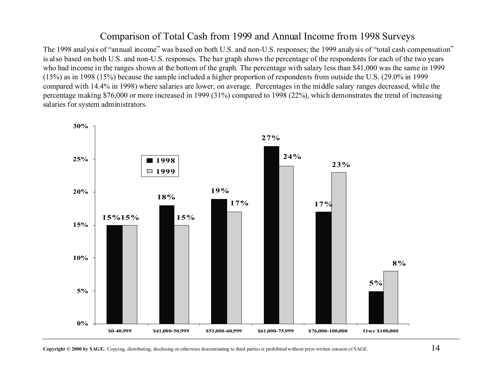#### Comparison of Total Cash from 1999 and Annual Income from 1998 Surveys

The 1998 analysis of "annual income" was based on both U.S. and non-U.S. responses; the 1999 analysis of "total cash compensation" is also based on both U.S. and non-U.S. responses. The bar graph shows the percentage of the respondents for each of the two years who had income in the ranges shown at the bottom of the graph. The percentage with salary less than \$41,000 was the same in 1999 (15%) as in 1998 (15%) because the sample included a higher proportion of respondents from outside the U.S. (29.0% in 1999 compared with 14.4% in 1998) where salaries are lower, on average. Percentages in the middle salary ranges decreased, while the percentage making \$76,000 or more increased in 1999 (31%) compared to 1998 (22%), which demonstrates the trend of increasing salaries for system administrators.



**Copyright © 2000 by SAGE.** Copying, distributing, disclosing or otherwise disseminating to third parties is prohibited without prior written consent of SAGE.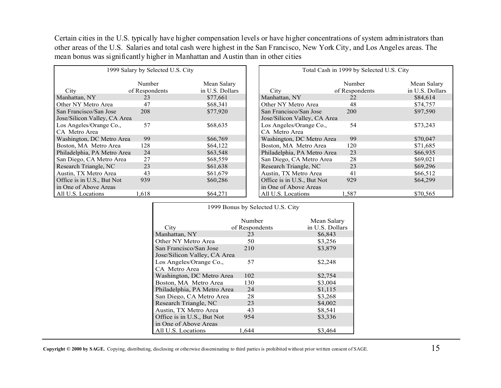Certain cities in the U.S. typically have higher compensation levels or have higher concentrations of system administrators than other areas of the U.S. Salaries and total cash were highest in the San Francisco, New York City, and Los Angeles areas. The mean bonus was significantly higher in Manhattan and Austin than in other cities

| 1999 Salary by Selected U.S. City                      |                |                 | Total Cash in 1999 by Selected U.S. City               |                |                 |
|--------------------------------------------------------|----------------|-----------------|--------------------------------------------------------|----------------|-----------------|
|                                                        | Number         | Mean Salary     |                                                        | <b>Number</b>  | Mean Salary     |
| City                                                   | of Respondents | in U.S. Dollars | City                                                   | of Respondents | in U.S. Dollars |
| Manhattan, NY                                          | 23             | \$77,661        | Manhattan, NY                                          | 22             | \$84,614        |
| Other NY Metro Area                                    | 47             | \$68,341        | Other NY Metro Area                                    | 48             | \$74,757        |
| San Francisco/San Jose<br>Jose/Silicon Valley, CA Area | 208            | \$77,920        | San Francisco/San Jose<br>Jose/Silicon Valley, CA Area | 200            | \$97,590        |
| Los Angeles/Orange Co.,<br>CA Metro Area               | 57             | \$68,635        | Los Angeles/Orange Co.,<br>CA Metro Area               | 54             | \$73,243        |
| Washington, DC Metro Area                              | 99             | \$66,769        | Washington, DC Metro Area                              | 99             | \$70,047        |
| Boston, MA Metro Area                                  | 128            | \$64,122        | Boston, MA Metro Area                                  | 120            | \$71,685        |
| Philadelphia, PA Metro Area                            | 24             | \$63,548        | Philadelphia, PA Metro Area                            | 23             | \$66,935        |
| San Diego, CA Metro Area                               | 27             | \$68,559        | San Diego, CA Metro Area                               | 28             | \$69,021        |
| Research Triangle, NC                                  | 23             | \$61,638        | Research Triangle, NC                                  | 23             | \$69,296        |
| Austin, TX Metro Area                                  | 43             | \$61.679        | Austin, TX Metro Area                                  | 41             | \$66.512        |
| Office is in U.S., But Not                             | 939            | \$60,286        | Office is in U.S., But Not                             | 929            | \$64,299        |
| in One of Above Areas                                  |                |                 | in One of Above Areas                                  |                |                 |
| All U.S. Locations                                     | 1.618          | \$64,271        | All U.S. Locations                                     | .587           | \$70,565        |

| 1999 Bonus by Selected U.S. City |                |                 |  |  |  |  |
|----------------------------------|----------------|-----------------|--|--|--|--|
|                                  | Number         | Mean Salary     |  |  |  |  |
| City                             | of Respondents | in U.S. Dollars |  |  |  |  |
| Manhattan, NY                    | 23             | \$6,843         |  |  |  |  |
| Other NY Metro Area              | 50             | \$3.256         |  |  |  |  |
| San Francisco/San Jose           | 210            | \$3,879         |  |  |  |  |
| Jose/Silicon Valley, CA Area     |                |                 |  |  |  |  |
| Los Angeles/Orange Co.,          | 57             | \$2,248         |  |  |  |  |
| CA Metro Area                    |                |                 |  |  |  |  |
| Washington, DC Metro Area        | 102            | \$2,754         |  |  |  |  |
| Boston, MA Metro Area            | 130            | \$3,004         |  |  |  |  |
| Philadelphia, PA Metro Area      | 24             | \$1,115         |  |  |  |  |
| San Diego, CA Metro Area         | 28             | \$3,268         |  |  |  |  |
| Research Triangle, NC            | 23             | \$4,002         |  |  |  |  |
| Austin, TX Metro Area            | 43             | \$8,541         |  |  |  |  |
| Office is in U.S., But Not       | 954            | \$3,336         |  |  |  |  |
| in One of Above Areas            |                |                 |  |  |  |  |
| All U.S. Locations               | 1.644          | \$3.464         |  |  |  |  |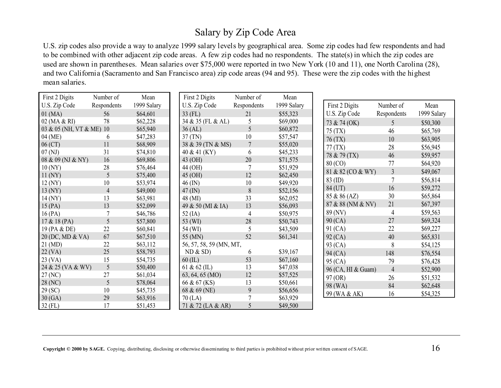# Salary by Zip Code Area

U.S. zip codes also provide a way to analyze 1999 salary levels by geographical area. Some zip codes had few respondents and had to be combined with other adjacent zip code areas. A few zip codes had no respondents. The state(s) in which the zip codes are used are shown in parentheses. Mean salaries over \$75,000 were reported in two New York (10 and 11), one North Carolina (28), and two California (Sacramento and San Francisco area) zip code areas (94 and 95). These were the zip codes with the highest mean salaries.

| First 2 Digits           | Number of      | Mean        | First 2 Digits          | Number of      | Mean        |                    |
|--------------------------|----------------|-------------|-------------------------|----------------|-------------|--------------------|
| U.S. Zip Code            | Respondents    | 1999 Salary | U.S. Zip Code           | Respondents    | 1999 Salary | First 2 Digits     |
| $01$ (MA)                | 56             | \$64,601    | $33$ (FL)               | 21             | \$55,323    | U.S. Zip Code      |
| 02 (MA & RI)             | 78             | \$62,228    | 34 & 35 (FL & AL)       | 5              | \$69,000    | 73 & 74 (OK)       |
| 03 & 05 (NH, VT & ME) 10 |                | \$65,940    | 36 (AL)                 | 5              | \$60,872    | 75 (TX)            |
| 04 (ME)                  | 6              | \$47,283    | 37(TN)                  | 10             | \$57,547    | 76 (TX)            |
| $06$ (CT)                | 11             | \$68,909    | 38 & 39 (TN & MS)       | $\overline{7}$ | \$55,020    | 77(TX)             |
| 07(NJ)                   | 31             | \$74,810    | 40 & 41 (KY)            | 6              | \$45,233    | 78 & 79 (TX)       |
| 08 & 09 (NJ & NY)        | 16             | \$69,806    | 43 (OH)                 | 20             | \$71,575    | 80 (CO)            |
| 10(NY)                   | 28             | \$76,464    | 44 (OH)                 | 7              | \$51,929    |                    |
| 11 (NY)                  | 5              | \$75,400    | 45 (OH)                 | 12             | \$62,450    | 81 & 82 (CO & WY)  |
| 12(NY)                   | 10             | \$53,974    | $46$ (IN)               | 10             | \$49,920    | 83 (ID)            |
| 13 (NY)                  | $\overline{4}$ | \$49,000    | $47$ (IN)               | 8              | \$52,156    | 84 (UT)            |
| $14$ (NY)                | 13             | \$63,981    | 48 (MI)                 | 33             | \$62,052    | 85 & 86 (AZ)       |
| 15(PA)                   | 13             | \$52,099    | 49 & 50 (MI & IA)       | 13             | \$56,093    | 87 & 88 (NM & NV)  |
| 16(PA)                   | 7              | \$46,786    | 52 $(IA)$               | 4              | \$50,975    | 89 (NV)            |
| 17 & 18 (PA)             | 5              | \$57,800    | 53 (WI)                 | 28             | \$50,743    | 90 (CA)            |
| 19 (PA & DE)             | 22             | \$60,841    | 54 (WI)                 | 5              | \$43,509    | 91 (CA)            |
| 20 (DC, MD & VA)         | 67             | \$67,510    | 55 (MN)                 | 52             | \$61,341    | 92 (CA)            |
| $21 \text{ (MD)}$        | 22             | \$63,112    | 56, 57, 58, 59 (MN, MT, |                |             | 93 (CA)            |
| $22$ (VA)                | 25             | \$58,793    | ND & SD                 | 6              | \$39,167    | 94 (CA)            |
| 23 (VA)                  | 15             | \$54,735    | $60$ (IL)               | 53             | \$67,160    | 95 (CA)            |
| 24 & 25 (VA & WV)        | 5              | \$50,400    | 61 & 62 (IL)            | 13             | \$47,038    | 96 (CA, HI & Guam) |
| 27 (NC)                  | 27             | \$61,034    | 63, 64, 65 (MO)         | 12             | \$57,525    | 97 (OR)            |
| 28 (NC)                  | 5              | \$78,064    | 66 & 67 (KS)            | 13             | \$50,661    | 98 (WA)            |
| 29 (SC)                  | 10             | \$45,735    | 68 & 69 (NE)            | 9              | \$56,656    | 99 (WA & AK)       |
| 30(GA)                   | 29             | \$63,916    | $70$ (LA)               |                | \$63,929    |                    |
| $32$ (FL)                | 17             | \$51,453    | 71 & 72 (LA & AR)       | 5              | \$49,500    |                    |

| First 2 Digits     | Number of      | Mean        |
|--------------------|----------------|-------------|
| U.S. Zip Code      | Respondents    | 1999 Salary |
| 73 & 74 (OK)       | 5              | \$50,300    |
| 75 (TX)            | 46             | \$65,769    |
| 76 (TX)            | 10             | \$63,905    |
| 77 (TX)            | 28             | \$56,945    |
| 78 & 79 (TX)       | 46             | \$59,957    |
| 80 (CO)            | 77             | \$64,920    |
| 81 & 82 (CO & WY)  | $\overline{3}$ | \$49,067    |
| 83 (ID)            | 7              | \$56,814    |
| 84 (UT)            | 16             | \$59,272    |
| 85 & 86 (AZ)       | 30             | \$65,864    |
| 87 & 88 (NM & NV)  | 21             | \$67,397    |
| 89 (NV)            | 4              | \$59,563    |
| 90 (CA)            | 27             | \$69,324    |
| 91 (CA)            | 22             | \$69,227    |
| 92 (CA)            | 40             | \$65,831    |
| 93 (CA)            | 8              | \$54,125    |
| 94 (CA)            | 148            | \$76,554    |
| 95 (CA)            | 79             | \$76,428    |
| 96 (CA, HI & Guam) | $\overline{4}$ | \$52,900    |
| 97 (OR)            | 26             | \$51,532    |
| 98 (WA)            | 84             | \$62,648    |
| 99 (WA & AK)       | 16             | \$54,325    |
|                    |                |             |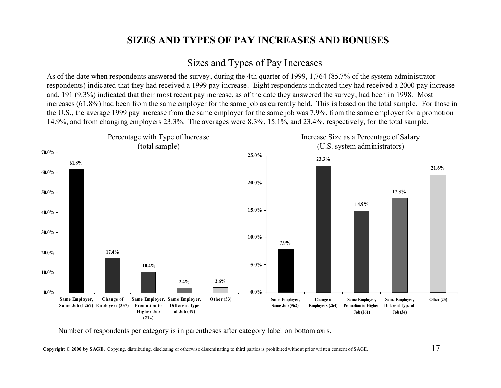# **SIZES AND TYPES OF PAY INCREASES AND BONUSES**

# Sizes and Types of Pay Increases

As of the date when respondents answered the survey, during the 4th quarter of 1999, 1,764 (85.7% of the system administrator respondents) indicated that they had received a 1999 pay increase. Eight respondents indicated they had received a 2000 pay increase and, 191 (9.3%) indicated that their most recent pay increase, as of the date they answered the survey, had been in 1998. Most increases (61.8%) had been from the same employer for the same job as currently held. This is based on the total sample. For those in the U.S., the average 1999 pay increase from the same employer for the same job was 7.9%, from the same employer for a promotion 14.9%, and from changing employers 23.3%. The averages were 8.3%, 15.1%, and 23.4%, respectively, for the total sample.



Number of respondents per category is in parentheses after category label on bottom axis.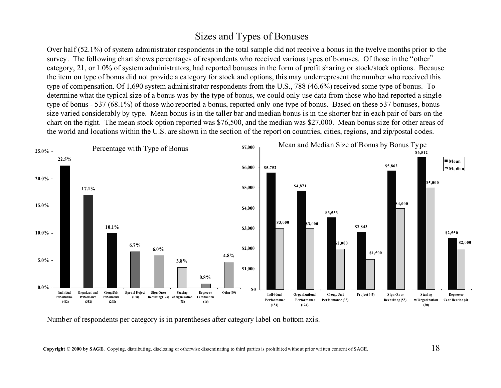# Sizes and Types of Bonuses

Over half (52.1%) of system administrator respondents in the total sample did not receive a bonus in the twelve months prior to the survey. The following chart shows percentages of respondents who received various types of bonuses. Of those in the "other" category, 21, or 1.0% of system administrators, had reported bonuses in the form of profit sharing or stock/stock options. Because the item on type of bonus did not provide a category for stock and options, this may underrepresent the number who received this type of compensation. Of 1,690 system administrator respondents from the U.S., 788 (46.6%) received some type of bonus. To determine what the typical size of a bonus was by the type of bonus, we could only use data from those who had reported a single type of bonus - 537 (68.1%) of those who reported a bonus, reported only one type of bonus. Based on these 537 bonuses, bonus size varied considerably by type. Mean bonus is in the taller bar and median bonus is in the shorter bar in each pair of bars on the chart on the right. The mean stock option reported was \$76,500, and the median was \$27,000. Mean bonus size for other areas of the world and locations within the U.S. are shown in the section of the report on countries, cities, regions, and zip/postal codes.



Number of respondents per category is in parentheses after category label on bottom axis.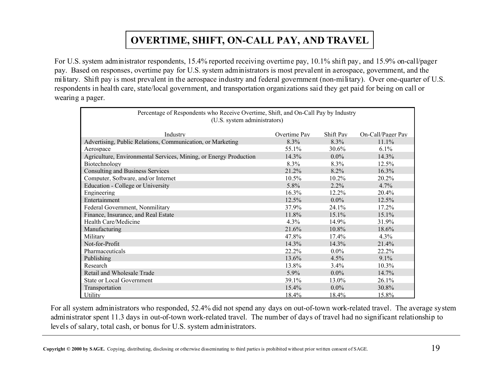# **OVERTIME, SHIFT, ON-CALL PAY, AND TRAVEL**

For U.S. system administrator respondents, 15.4% reported receiving overtime pay, 10.1% shift pay, and 15.9% on-call/pager pay. Based on responses, overtime pay for U.S. system administrators is most prevalent in aerospace, government, and the military. Shift pay is most prevalent in the aerospace industry and federal government (non-military). Over one-quarter of U.S. respondents in health care, state/local government, and transportation organizations said they get paid for being on call or wearing a pager.

| Percentage of Respondents who Receive Overtime, Shift, and On-Call Pay by Industry |              |           |                   |  |  |  |  |  |
|------------------------------------------------------------------------------------|--------------|-----------|-------------------|--|--|--|--|--|
| (U.S. system administrators)                                                       |              |           |                   |  |  |  |  |  |
| Industry                                                                           | Overtime Pay | Shift Pay | On-Call/Pager Pay |  |  |  |  |  |
| Advertising, Public Relations, Communication, or Marketing                         | 8.3%         | 8.3%      | $11.1\%$          |  |  |  |  |  |
| Aerospace                                                                          | 55.1%        | $30.6\%$  | $6.1\%$           |  |  |  |  |  |
| Agriculture, Environmental Services, Mining, or Energy Production                  | 14.3%        | $0.0\%$   | 14.3%             |  |  |  |  |  |
| Biotechnology                                                                      | $8.3\%$      | $8.3\%$   | 12.5%             |  |  |  |  |  |
| <b>Consulting and Business Services</b>                                            | 21.2%        | 8.2%      | 16.3%             |  |  |  |  |  |
| Computer, Software, and/or Internet                                                | $10.5\%$     | $10.2\%$  | 20.2%             |  |  |  |  |  |
| Education - College or University                                                  | 5.8%         | $2.2\%$   | 4.7%              |  |  |  |  |  |
| Engineering                                                                        | 16.3%        | 12.2%     | 20.4%             |  |  |  |  |  |
| Entertainment                                                                      | 12.5%        | $0.0\%$   | 12.5%             |  |  |  |  |  |
| Federal Government, Nonmilitary                                                    | 37.9%        | 24.1%     | 17.2%             |  |  |  |  |  |
| Finance, Insurance, and Real Estate                                                | 11.8%        | 15.1%     | 15.1%             |  |  |  |  |  |
| Health Care/Medicine                                                               | 4.3%         | 14.9%     | 31.9%             |  |  |  |  |  |
| Manufacturing                                                                      | 21.6%        | 10.8%     | 18.6%             |  |  |  |  |  |
| Military                                                                           | 47.8%        | $17.4\%$  | 4.3%              |  |  |  |  |  |
| Not-for-Profit                                                                     | 14.3%        | 14.3%     | 21.4%             |  |  |  |  |  |
| Pharmaceuticals                                                                    | 22.2%        | $0.0\%$   | 22.2%             |  |  |  |  |  |
| Publishing                                                                         | 13.6%        | 4.5%      | $9.1\%$           |  |  |  |  |  |
| Research                                                                           | 13.8%        | $3.4\%$   | 10.3%             |  |  |  |  |  |
| Retail and Wholesale Trade                                                         | $5.9\%$      | $0.0\%$   | 14.7%             |  |  |  |  |  |
| <b>State or Local Government</b>                                                   | 39.1%        | 13.0%     | 26.1%             |  |  |  |  |  |
| Transportation                                                                     | 15.4%        | $0.0\%$   | 30.8%             |  |  |  |  |  |
| Utility                                                                            | 18.4%        | 18.4%     | 15.8%             |  |  |  |  |  |

For all system administrators who responded, 52.4% did not spend any days on out-of-town work-related travel. The average system administrator spent 11.3 days in out-of-town work-related travel. The number of days of travel had no significant relationship to levels of salary, total cash, or bonus for U.S. system administrators.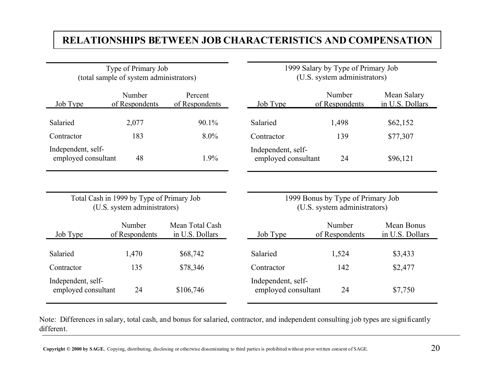#### **RELATIONSHIPS BETWEEN JOB CHARACTERISTICS AND COMPENSATION**

|                                           | Type of Primary Job<br>(total sample of system administrators)            |                                    |                                           | 1999 Salary by Type of Primary Job<br>(U.S. system administrators) |                                |  |  |  |
|-------------------------------------------|---------------------------------------------------------------------------|------------------------------------|-------------------------------------------|--------------------------------------------------------------------|--------------------------------|--|--|--|
| Job Type                                  | Number<br>of Respondents                                                  | Percent<br>of Respondents          | Job Type                                  | Number<br>of Respondents                                           | Mean Salary<br>in U.S. Dollars |  |  |  |
| Salaried                                  | 2,077                                                                     | 90.1%                              | Salaried                                  | 1,498                                                              | \$62,152                       |  |  |  |
| Contractor                                | 183                                                                       | $8.0\%$                            | Contractor                                | 139                                                                | \$77,307                       |  |  |  |
| Independent, self-<br>employed consultant | 48                                                                        | 1.9%                               | Independent, self-<br>employed consultant | 24                                                                 | \$96,121                       |  |  |  |
|                                           |                                                                           |                                    |                                           |                                                                    |                                |  |  |  |
|                                           | Total Cash in 1999 by Type of Primary Job<br>(U.S. system administrators) |                                    |                                           | 1999 Bonus by Type of Primary Job<br>(U.S. system administrators)  |                                |  |  |  |
| Job Type                                  | Number<br>of Respondents                                                  | Mean Total Cash<br>in U.S. Dollars | Job Type                                  | Number<br>of Respondents                                           | Mean Bonus<br>in U.S. Dollars  |  |  |  |
| Salaried                                  | 1,470                                                                     | \$68,742                           | Salaried                                  | 1,524                                                              | \$3,433                        |  |  |  |
| Contractor                                | 135                                                                       | \$78,346                           | Contractor                                | 142                                                                | \$2,477                        |  |  |  |
| Independent, self-<br>employed consultant | 24                                                                        | \$106,746                          | Independent, self-<br>employed consultant | 24                                                                 | \$7,750                        |  |  |  |

Note: Differences in salary, total cash, and bonus for salaried, contractor, and independent consulting job types are significantly different.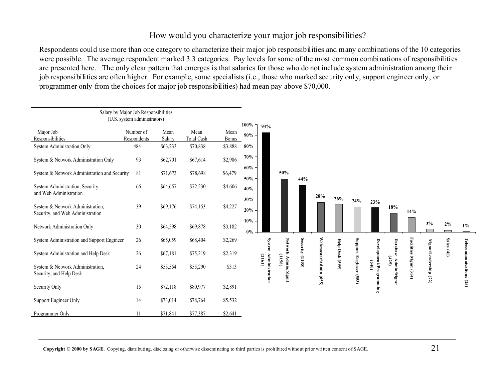#### How would you characterize your major job responsibilities?

Respondents could use more than one category to characterize their major job responsibilities and many combinations of the 10 categories were possible. The average respondent marked 3.3 categories. Pay levels for some of the most common combinations of responsibilities are presented here. The only clear pattern that emerges is that salaries for those who do not include system administration among their job responsibilities are often higher. For example, some specialists (i.e., those who marked security only, support engineer only, or programmer only from the choices for major job responsibilities) had mean pay above \$70,000.

|                                                                      | Salary by Major Job Responsibilities<br>(U.S. system administrators) |                |                           |               | $100\%$ $\Box$ |                       |                      |                 |                 |                 |                          |                  |         |            |               |              |               |
|----------------------------------------------------------------------|----------------------------------------------------------------------|----------------|---------------------------|---------------|----------------|-----------------------|----------------------|-----------------|-----------------|-----------------|--------------------------|------------------|---------|------------|---------------|--------------|---------------|
| Major Job<br>Responsibilities                                        | Number of<br><b>Respondents</b>                                      | Mean<br>Salary | Mean<br><b>Total Cash</b> | Mean<br>Bonus | $90\%$         | 93%                   |                      |                 |                 |                 |                          |                  |         |            |               |              |               |
| System Administration Only                                           | 484                                                                  | \$63,233       | \$70,838                  | \$3,888       | $80\%$         |                       |                      |                 |                 |                 |                          |                  |         |            |               |              |               |
| System & Network Administration Only                                 | 93                                                                   | \$62,701       | \$67,614                  | \$2,986       | 70%            |                       |                      |                 |                 |                 |                          |                  |         |            |               |              |               |
| System & Network Administration and Security                         | 81                                                                   | \$71,673       | \$78,698                  | \$6,479       | 60%<br>50%     |                       | 50%                  | 44%             |                 |                 |                          |                  |         |            |               |              |               |
| System Administration, Security,<br>and Web Administration           | 66                                                                   | \$64,657       | \$72,230                  | \$4,606       | $40\%$         |                       |                      |                 | 28%             | 26%             |                          |                  |         |            |               |              |               |
| System & Network Administration,<br>Security, and Web Administration | 39                                                                   | \$69,176       | \$74,153                  | \$4,227       | 30%<br>20%     |                       |                      |                 |                 |                 | 24%                      | 23%              | 18%     | 14%        |               |              |               |
| Network Administration Only                                          | 30                                                                   | \$64,598       | \$69,878                  | \$3,182       | $10\%$<br>0%   |                       |                      |                 |                 |                 |                          |                  |         |            | 3%            | $2\%$        | $1\%$         |
| System Administration and Support Engineer                           | 26                                                                   | \$65,059       | \$68,404                  | \$2,269       |                | System                | <b>Netwo</b>         |                 |                 |                 | Support                  | Devel            | Datab   | Facilities | Mgmt/L        | Sales $(41)$ | <b>Teleco</b> |
| System Administration and Help Desk                                  | 26                                                                   | \$67,181       | \$75,219                  | \$2,319       |                | (2161)                | (1156)               | Security (1105) | Webmaster/Admin | Help Desk (599) |                          |                  | (425)   |            |               |              |               |
| System & Network Administration,<br>Security, and Help Desk          | 24                                                                   | \$55,554       | \$55,290                  | \$313         |                | <b>Administration</b> | Admin<br>$\geq$<br>Ē |                 | (655)           |                 | <b>Engineer</b><br>(553) | ent/Pro<br>(540) | Admin/M | Mgmt(314)  | adership (72) |              | unications    |
| Security Only                                                        | 15                                                                   | \$72,118       | \$80,977                  | \$2,891       |                |                       |                      |                 |                 |                 |                          | gramming         |         |            |               |              | (25)          |
| Support Engineer Only                                                | 14                                                                   | \$73,014       | \$78,764                  | \$5,532       |                |                       |                      |                 |                 |                 |                          |                  |         |            |               |              |               |
| Programmer Only                                                      |                                                                      | \$71,841       | \$77,387                  | \$2,641       |                |                       |                      |                 |                 |                 |                          |                  |         |            |               |              |               |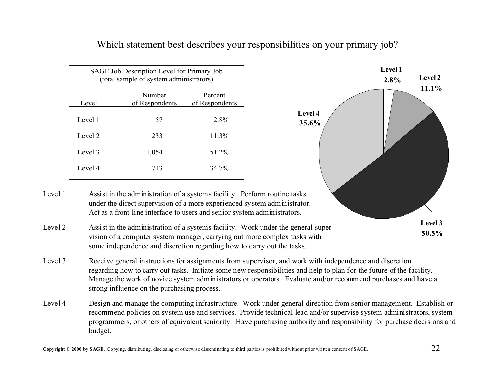| SAGE Job Description Level for Primary Job<br>(total sample of system administrators) |       |          |  |  |  |  |  |  |
|---------------------------------------------------------------------------------------|-------|----------|--|--|--|--|--|--|
| Number<br>Percent<br>of Respondents<br>of Respondents<br>Level                        |       |          |  |  |  |  |  |  |
| Level 1                                                                               | 57    | 2.8%     |  |  |  |  |  |  |
| Level 2                                                                               | 233   | $11.3\%$ |  |  |  |  |  |  |
| Level 3                                                                               | 1,054 | 51 2%    |  |  |  |  |  |  |
| Level 4                                                                               | 713   | 34 7%    |  |  |  |  |  |  |

Which statement best describes your responsibilities on your primary job?



Level 1 Assist in the administration of a systems facility. Perform routine tasks under the direct supervision of a more experienced system administrator. Act as a front-line interface to users and senior system administrators.

Level 4 Design and manage the computing infrastructure. Work under general direction from senior management. Establish or recommend policies on system use and services. Provide technical lead and/or supervise system administrators, system programmers, or others of equivalent seniority. Have purchasing authority and responsibility for purchase decisions and budget.

Level 2 Assist in the administration of a systems facility. Work under the general supervision of a computer system manager, carrying out more complex tasks with some independence and discretion regarding how to carry out the tasks.

Level 3 Receive general instructions for assignments from supervisor, and work with independence and discretion regarding how to carry out tasks. Initiate some new responsibilities and help to plan for the future of the facility. Manage the work of novice system administrators or operators. Evaluate and/or recommend purchases and have a strong influence on the purchasing process.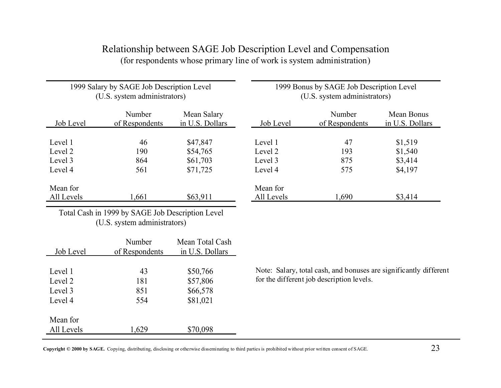|            | 1999 Salary by SAGE Job Description Level<br>(U.S. system administrators) |                                | 1999 Bonus by SAGE Job Description Level<br>(U.S. system administrators) |                          |                               |  |  |  |
|------------|---------------------------------------------------------------------------|--------------------------------|--------------------------------------------------------------------------|--------------------------|-------------------------------|--|--|--|
| Job Level  | Number<br>of Respondents                                                  | Mean Salary<br>in U.S. Dollars | Job Level                                                                | Number<br>of Respondents | Mean Bonus<br>in U.S. Dollars |  |  |  |
|            |                                                                           |                                |                                                                          |                          |                               |  |  |  |
| Level 1    | 46                                                                        | \$47,847                       | Level 1                                                                  | 47                       | \$1,519                       |  |  |  |
| Level 2    | 190                                                                       | \$54,765                       | Level 2                                                                  | 193                      | \$1,540                       |  |  |  |
| Level 3    | 864                                                                       | \$61,703                       | Level 3                                                                  | 875                      | \$3,414                       |  |  |  |
| Level 4    | 561                                                                       | \$71,725                       | Level 4                                                                  | 575                      | \$4,197                       |  |  |  |
| Mean for   |                                                                           |                                | Mean for                                                                 |                          |                               |  |  |  |
| All Levels | 1,661                                                                     | \$63,911                       | All Levels                                                               | 1.690                    | \$3,414                       |  |  |  |

#### Relationship between SAGE Job Description Level and Compensation (for respondents whose primary line of work is system administration)

Total Cash in 1999 by SAGE Job Description Level (U.S. system administrators)

|            | Number         | Mean Total Cash |
|------------|----------------|-----------------|
| Job Level  | of Respondents | in U.S. Dollars |
|            |                |                 |
| Level 1    | 43             | \$50,766        |
| Level 2    | 181            | \$57,806        |
| Level 3    | 851            | \$66,578        |
| Level 4    | 554            | \$81,021        |
|            |                |                 |
| Mean for   |                |                 |
| All Levels | 1,629          | \$70,098        |

Note: Salary, total cash, and bonuses are significantly different for the different job description levels.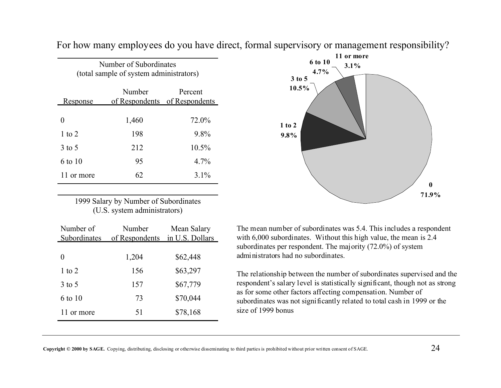| Number of Subordinates<br>(total sample of system administrators) |       |          |  |  |  |  |  |
|-------------------------------------------------------------------|-------|----------|--|--|--|--|--|
| Number<br>Percent<br>of Respondents of Respondents<br>Response    |       |          |  |  |  |  |  |
|                                                                   | 1,460 | 72.0%    |  |  |  |  |  |
| 1 to 2                                                            | 198   | 9.8%     |  |  |  |  |  |
| 3 to 5                                                            | 212   | $10.5\%$ |  |  |  |  |  |
| 6 to 10                                                           | 95    | $4.7\%$  |  |  |  |  |  |
| 11 or more                                                        | 62    | $3.1\%$  |  |  |  |  |  |

For how many employees do you have direct, formal supervisory or management responsibility?

1999 Salary by Number of Subordinates (U.S. system administrators)

| Number of<br>Subordinates | Number<br>of Respondents | Mean Salary<br>in U.S. Dollars |
|---------------------------|--------------------------|--------------------------------|
| 0                         | 1,204                    | \$62,448                       |
| $1$ to $2$                | 156                      | \$63,297                       |
| $3$ to 5                  | 157                      | \$67,779                       |
| 6 to 10                   | 73                       | \$70,044                       |
| 11 or more                | 51                       | \$78,168                       |



The mean number of subordinates was 5.4. This includes a respondent with 6,000 subordinates. Without this high value, the mean is 2.4 subordinates per respondent. The majority (72.0%) of system administrators had no subordinates.

The relationship between the number of subordinates supervised and the respondent's salary level is statistically significant, though not as strong as for some other factors affecting compensation. Number of subordinates was not significantly related to total cash in 1999 or the size of 1999 bonus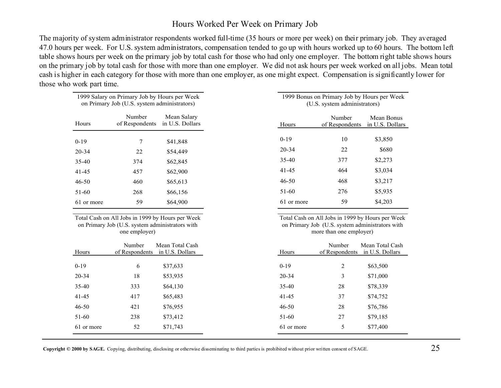#### Hours Worked Per Week on Primary Job

The majority of system administrator respondents worked full-time (35 hours or more per week) on their primary job. They averaged 47.0 hours per week. For U.S. system administrators, compensation tended to go up with hours worked up to 60 hours. The bottom left table shows hours per week on the primary job by total cash for those who had only one employer. The bottom right table shows hours on the primary job by total cash for those with more than one employer. We did not ask hours per week worked on all jobs. Mean total cash is higher in each category for those with more than one employer, as one might expect. Compensation is significantly lower for those who work part time.

|            | 1999 Salary on Primary Job by Hours per Week<br>on Primary Job (U.S. system administrators)                          |                                    |            | 1999 Bonus on Primary Job by Hours per Week<br>(U.S. system administrators)                                                    |                                    |
|------------|----------------------------------------------------------------------------------------------------------------------|------------------------------------|------------|--------------------------------------------------------------------------------------------------------------------------------|------------------------------------|
| Hours      | Number<br>of Respondents                                                                                             | Mean Salary<br>in U.S. Dollars     | Hours      | Number<br>of Respondents                                                                                                       | Mean Bonus<br>in U.S. Dollars      |
| $0-19$     | 7                                                                                                                    | \$41,848                           | $0-19$     | 10                                                                                                                             | \$3,850                            |
| 20-34      | 22                                                                                                                   | \$54,449                           | 20-34      | 22                                                                                                                             | \$680                              |
| 35-40      | 374                                                                                                                  | \$62,845                           | $35-40$    | 377                                                                                                                            | \$2,273                            |
| 41-45      | 457                                                                                                                  | \$62,900                           | 41-45      | 464                                                                                                                            | \$3,034                            |
| 46-50      | 460                                                                                                                  | \$65,613                           | $46 - 50$  | 468                                                                                                                            | \$3,217                            |
| 51-60      | 268                                                                                                                  | \$66,156                           | $51-60$    | 276                                                                                                                            | \$5,935                            |
| 61 or more | 59                                                                                                                   | \$64,900                           | 61 or more | 59                                                                                                                             | \$4,203                            |
|            | Total Cash on All Jobs in 1999 by Hours per Week<br>on Primary Job (U.S. system administrators with<br>one employer) |                                    |            | Total Cash on All Jobs in 1999 by Hours per Week<br>on Primary Job (U.S. system administrators with<br>more than one employer) |                                    |
| Hours      | Number<br>of Respondents                                                                                             | Mean Total Cash<br>in U.S. Dollars | Hours      | Number<br>of Respondents                                                                                                       | Mean Total Cash<br>in U.S. Dollars |

| Hours      |     | of Respondents in U.S. Dollars | Hours      | of Respondents in U.S. Dollars |          |
|------------|-----|--------------------------------|------------|--------------------------------|----------|
| $0-19$     | 6   | \$37,633                       | $0-19$     | 2                              | \$63,500 |
| $20 - 34$  | 18  | \$53,935                       | 20-34      | 3                              | \$71,000 |
| $35-40$    | 333 | \$64,130                       | 35-40      | 28                             | \$78,339 |
| $41 - 45$  | 417 | \$65,483                       | $41 - 45$  | 37                             | \$74,752 |
| $46 - 50$  | 421 | \$76,955                       | $46 - 50$  | 28                             | \$76,786 |
| $51-60$    | 238 | \$73,412                       | $51-60$    | 27                             | \$79,185 |
| 61 or more | 52  | \$71,743                       | 61 or more | 5                              | \$77,400 |
|            |     |                                |            |                                |          |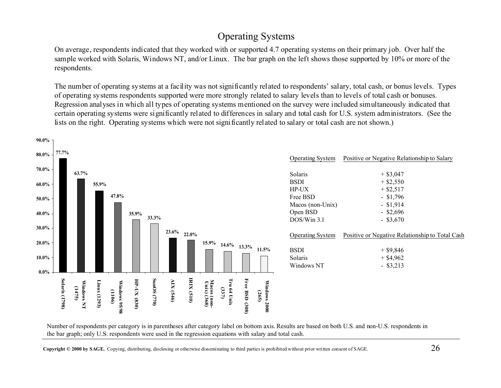# Operating Systems

On average, respondents indicated that they worked with or supported 4.7 operating systems on their primary job. Over half the sample worked with Solaris, Windows NT, and/or Linux. The bar graph on the left shows those supported by 10% or more of the respondents.

The number of operating systems at a facility was not significantly related to respondents' salary, total cash, or bonus levels. Types of operating systems respondents supported were more strongly related to salary levels than to levels of total cash or bonuses. Regression analyses in which all types of operating systems mentioned on the survey were included simultaneously indicated that certain operating systems were significantly related to differences in salary and total cash for U.S. system administrators. (See the lists on the right. Operating systems which were not significantly related to salary or total cash are not shown.)



Number of respondents per category is in parentheses after category label on bottom axis. Results are based on both U.S. and non-U.S. respondents in the bar graph; only U.S. respondents were used in the regression equations with salary and total cash.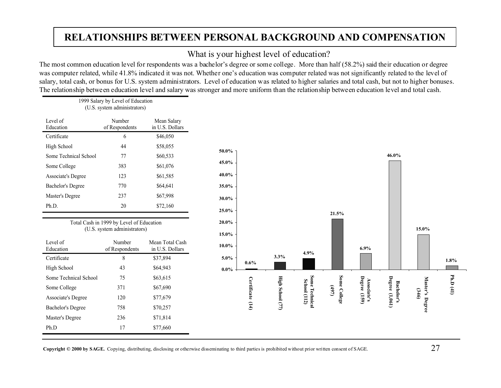# **RELATIONSHIPS BETWEEN PERSONAL BACKGROUND AND COMPENSATION**

#### What is your highest level of education?

The most common education level for respondents was a bachelor's degree or some college. More than half (58.2%) said their education or degree was computer related, while 41.8% indicated it was not. Whether one's education was computer related was not significantly related to the level of salary, total cash, or bonus for U.S. system administrators. Level of education was related to higher salaries and total cash, but not to higher bonuses. The relationship between education level and salary was stronger and more uniform than the relationship between education level and total cash.

| (U.S. system administrators) |                          |                                |  |  |  |  |
|------------------------------|--------------------------|--------------------------------|--|--|--|--|
| Level of<br>Education        | Number<br>of Respondents | Mean Salary<br>in U.S. Dollars |  |  |  |  |
| Certificate                  | 6                        | \$46,050                       |  |  |  |  |
| High School                  | 44                       | \$58,055                       |  |  |  |  |
| Some Technical School        | 77                       | \$60,533                       |  |  |  |  |
| Some College                 | 383                      | \$61,076                       |  |  |  |  |
| Associate's Degree           | 123                      | \$61,585                       |  |  |  |  |
| Bachelor's Degree            | 770                      | \$64,641                       |  |  |  |  |
| Master's Degree              | 237                      | \$67,998                       |  |  |  |  |
| Ph.D.                        | 20                       | \$72,160                       |  |  |  |  |

1999 Salary by Level of Education

Total Cash in 1999 by Level of Education (U.S. system administrators)

| Level of<br>Education | Number<br>of Respondents | Mean Total Cash<br>in U.S. Dollars |
|-----------------------|--------------------------|------------------------------------|
| Certificate           | 8                        | \$37,894                           |
| High School           | 43                       | \$64,943                           |
| Some Technical School | 75                       | \$63,615                           |
| Some College          | 371                      | \$67,690                           |
| Associate's Degree    | 120                      | \$77,679                           |
| Bachelor's Degree     | 758                      | \$70,257                           |
| Master's Degree       | 236                      | \$71,814                           |
| Ph.D                  | 17                       | \$77,660                           |
|                       |                          |                                    |

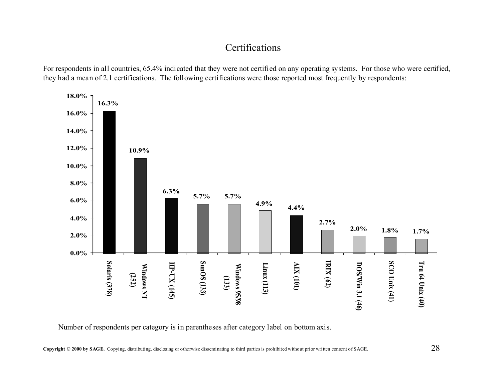# Certifications

For respondents in all countries, 65.4% indicated that they were not certified on any operating systems. For those who were certified, they had a mean of 2.1 certifications. The following certifications were those reported most frequently by respondents:



Number of respondents per category is in parentheses after category label on bottom axis.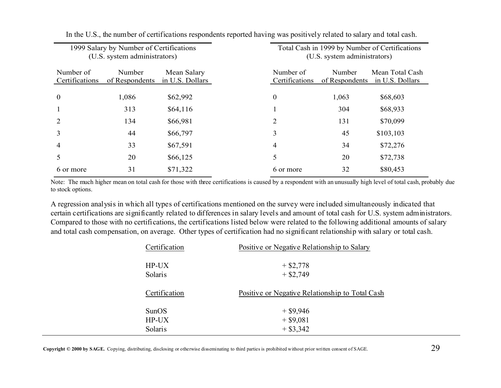| 1999 Salary by Number of Certifications<br>(U.S. system administrators) |                          |                                | Total Cash in 1999 by Number of Certifications<br>(U.S. system administrators) |                          |                                    |  |
|-------------------------------------------------------------------------|--------------------------|--------------------------------|--------------------------------------------------------------------------------|--------------------------|------------------------------------|--|
| Number of<br>Certifications                                             | Number<br>of Respondents | Mean Salary<br>in U.S. Dollars | Number of<br>Certifications                                                    | Number<br>of Respondents | Mean Total Cash<br>in U.S. Dollars |  |
| $\boldsymbol{0}$                                                        | 1,086                    | \$62,992                       | $\boldsymbol{0}$                                                               | 1,063                    | \$68,603                           |  |
|                                                                         | 313                      | \$64,116                       |                                                                                | 304                      | \$68,933                           |  |
| 2                                                                       | 134                      | \$66,981                       | 2                                                                              | 131                      | \$70,099                           |  |
| 3                                                                       | 44                       | \$66,797                       | 3                                                                              | 45                       | \$103,103                          |  |
| $\overline{4}$                                                          | 33                       | \$67,591                       | 4                                                                              | 34                       | \$72,276                           |  |
| 5                                                                       | 20                       | \$66,125                       | 5                                                                              | 20                       | \$72,738                           |  |
| 6 or more                                                               | 31                       | \$71,322                       | 6 or more                                                                      | 32                       | \$80,453                           |  |

In the U.S., the number of certifications respondents reported having was positively related to salary and total cash.

Note: The much higher mean on total cash for those with three certifications is caused by a respondent with an unusually high level of total cash, probably due to stock options.

A regression analysis in which all types of certifications mentioned on the survey were included simultaneously indicated that certain certifications are significantly related to differences in salary levels and amount of total cash for U.S. system administrators. Compared to those with no certifications, the certifications listed below were related to the following additional amounts of salary and total cash compensation, on average. Other types of certification had no significant relationship with salary or total cash.

| Certification | Positive or Negative Relationship to Salary     |  |  |  |  |
|---------------|-------------------------------------------------|--|--|--|--|
| $HP-UX$       | $+$ \$2,778                                     |  |  |  |  |
| Solaris       | $+$ \$2,749                                     |  |  |  |  |
| Certification | Positive or Negative Relationship to Total Cash |  |  |  |  |
| <b>SunOS</b>  | $+$ \$9,946                                     |  |  |  |  |
| $HP-UX$       | $+$ \$9,081                                     |  |  |  |  |
| Solaris       | $+ $3,342$                                      |  |  |  |  |
|               |                                                 |  |  |  |  |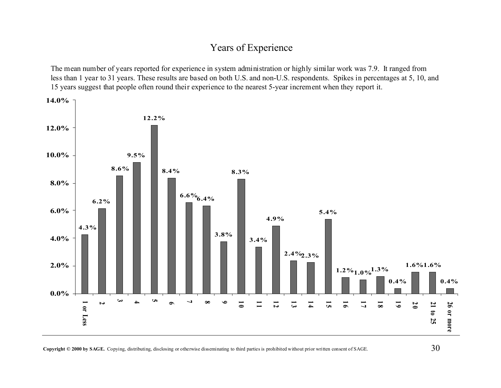# Years of Experience

The mean number of years reported for experience in system administration or highly similar work was 7.9. It ranged from less than 1 year to 31 years. These results are based on both U.S. and non-U.S. respondents. Spikes in percentages at 5, 10, and 15 years suggest that people often round their experience to the nearest 5-year increment when they report it.

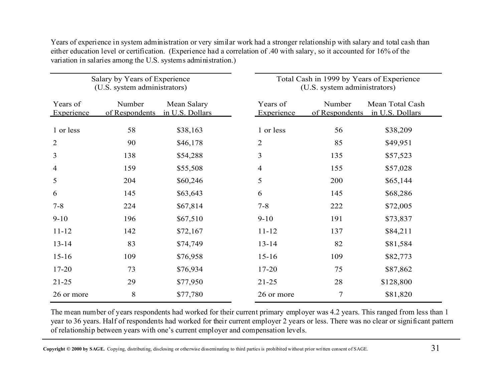| Salary by Years of Experience<br>(U.S. system administrators) |                          |                                |                | Total Cash in 1999 by Years of Experience<br>(U.S. system administrators) |                          |                                    |  |
|---------------------------------------------------------------|--------------------------|--------------------------------|----------------|---------------------------------------------------------------------------|--------------------------|------------------------------------|--|
| Years of<br>Experience                                        | Number<br>of Respondents | Mean Salary<br>in U.S. Dollars |                | Years of<br>Experience                                                    | Number<br>of Respondents | Mean Total Cash<br>in U.S. Dollars |  |
| 1 or less                                                     | 58                       | \$38,163                       |                | 1 or less                                                                 | 56                       | \$38,209                           |  |
| $\overline{2}$                                                | 90                       | \$46,178                       | $\overline{2}$ |                                                                           | 85                       | \$49,951                           |  |
| 3                                                             | 138                      | \$54,288                       | 3              |                                                                           | 135                      | \$57,523                           |  |
| 4                                                             | 159                      | \$55,508                       | $\overline{4}$ |                                                                           | 155                      | \$57,028                           |  |
| 5                                                             | 204                      | \$60,246                       | 5              |                                                                           | 200                      | \$65,144                           |  |
| 6                                                             | 145                      | \$63,643                       | 6              |                                                                           | 145                      | \$68,286                           |  |
| $7 - 8$                                                       | 224                      | \$67,814                       | $7 - 8$        |                                                                           | 222                      | \$72,005                           |  |
| $9 - 10$                                                      | 196                      | \$67,510                       | $9 - 10$       |                                                                           | 191                      | \$73,837                           |  |
| $11 - 12$                                                     | 142                      | \$72,167                       |                | $11 - 12$                                                                 | 137                      | \$84,211                           |  |
| $13 - 14$                                                     | 83                       | \$74,749                       |                | $13 - 14$                                                                 | 82                       | \$81,584                           |  |
| $15 - 16$                                                     | 109                      | \$76,958                       |                | $15 - 16$                                                                 | 109                      | \$82,773                           |  |
| $17 - 20$                                                     | 73                       | \$76,934                       |                | $17 - 20$                                                                 | 75                       | \$87,862                           |  |
| $21 - 25$                                                     | 29                       | \$77,950                       |                | $21 - 25$                                                                 | 28                       | \$128,800                          |  |
| 26 or more                                                    | 8                        | \$77,780                       |                | 26 or more                                                                | $\overline{7}$           | \$81,820                           |  |

Years of experience in system administration or very similar work had a stronger relationship with salary and total cash than either education level or certification. (Experience had a correlation of .40 with salary, so it accounted for 16% of the variation in salaries among the U.S. systems administration.)

The mean number of years respondents had worked for their current primary employer was 4.2 years. This ranged from less than 1 year to 36 years. Half of respondents had worked for their current employer 2 years or less. There was no clear or significant pattern of relationship between years with one's current employer and compensation levels.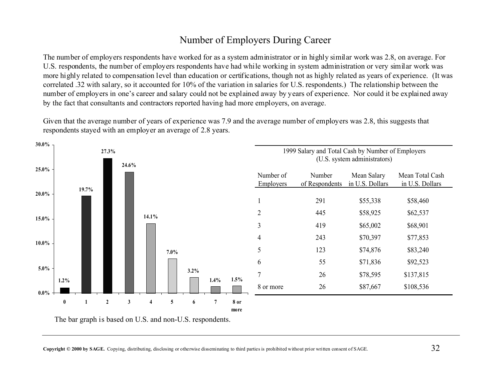# Number of Employers During Career

The number of employers respondents have worked for as a system administrator or in highly similar work was 2.8, on average. For U.S. respondents, the number of employers respondents have had while working in system administration or very similar work was more highly related to compensation level than education or certifications, though not as highly related as years of experience. (It was correlated .32 with salary, so it accounted for 10% of the variation in salaries for U.S. respondents.) The relationship between the number of employers in one's career and salary could not be explained away by years of experience. Nor could it be explained away by the fact that consultants and contractors reported having had more employers, on average.

Given that the average number of years of experience was 7.9 and the average number of employers was 2.8, this suggests that respondents stayed with an employer an average of 2.8 years.



The bar graph is based on U.S. and non-U.S. respondents.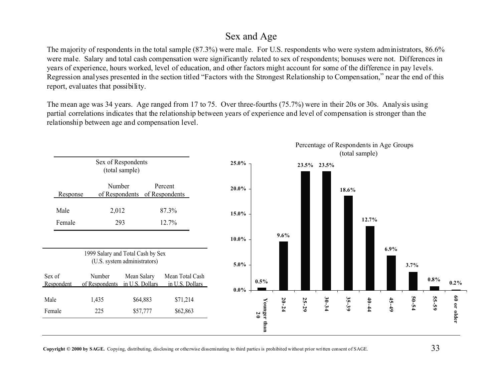#### Sex and Age

The majority of respondents in the total sample (87.3%) were male. For U.S. respondents who were system administrators, 86.6% were male. Salary and total cash compensation were significantly related to sex of respondents; bonuses were not. Differences in years of experience, hours worked, level of education, and other factors might account for some of the difference in pay levels. Regression analyses presented in the section titled "Factors with the Strongest Relationship to Compensation," near the end of this report, evaluates that possibility.

The mean age was 34 years. Age ranged from 17 to 75. Over three-fourths (75.7%) were in their 20s or 30s. Analysis using partial correlations indicates that the relationship between years of experience and level of compensation is stronger than the relationship between age and compensation level.

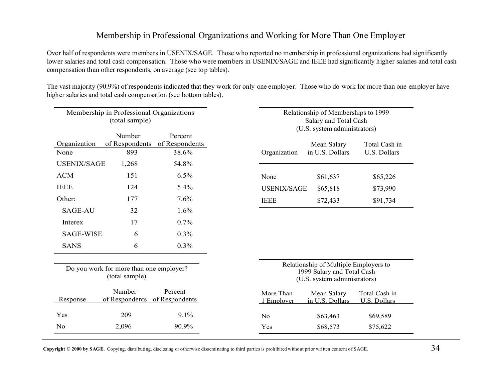#### Membership in Professional Organizations and Working for More Than One Employer

Over half of respondents were members in USENIX/SAGE. Those who reported no membership in professional organizations had significantly lower salaries and total cash compensation. Those who were members in USENIX/SAGE and IEEE had significantly higher salaries and total cash compensation than other respondents, on average (see top tables).

The vast majority (90.9%) of respondents indicated that they work for only one employer. Those who do work for more than one employer have higher salaries and total cash compensation (see bottom tables).

| Membership in Professional Organizations<br>(total sample) |                                                           |                           |                         | Relationship of Memberships to 1999<br>Salary and Total Cash<br>(U.S. system administrators)        |                               |  |  |
|------------------------------------------------------------|-----------------------------------------------------------|---------------------------|-------------------------|-----------------------------------------------------------------------------------------------------|-------------------------------|--|--|
| Organization                                               | Number<br>of Respondents                                  | Percent<br>of Respondents |                         | Mean Salary                                                                                         | Total Cash in                 |  |  |
| None                                                       | 893                                                       | 38.6%                     | Organization            | in U.S. Dollars                                                                                     | U.S. Dollars                  |  |  |
| <b>USENIX/SAGE</b>                                         | 1,268                                                     | 54.8%                     |                         |                                                                                                     |                               |  |  |
| <b>ACM</b>                                                 | 151                                                       | 6.5%                      | None                    | \$61,637                                                                                            | \$65,226                      |  |  |
| <b>IEEE</b>                                                | 124                                                       | 5.4%                      | <b>USENIX/SAGE</b>      | \$65,818                                                                                            | \$73,990                      |  |  |
| Other:                                                     | 177                                                       | 7.6%                      | <b>IEEE</b>             | \$72,433                                                                                            | \$91,734                      |  |  |
| <b>SAGE-AU</b>                                             | 32                                                        | 1.6%                      |                         |                                                                                                     |                               |  |  |
| Interex                                                    | 17                                                        | 0.7%                      |                         |                                                                                                     |                               |  |  |
| <b>SAGE-WISE</b>                                           | 6                                                         | 0.3%                      |                         |                                                                                                     |                               |  |  |
| <b>SANS</b>                                                | 6                                                         | 0.3%                      |                         |                                                                                                     |                               |  |  |
|                                                            | Do you work for more than one employer?<br>(total sample) |                           |                         | Relationship of Multiple Employers to<br>1999 Salary and Total Cash<br>(U.S. system administrators) |                               |  |  |
| Response                                                   | Number<br>of Respondents of Respondents                   | Percent                   | More Than<br>1 Employer | Mean Salary<br>in U.S. Dollars                                                                      | Total Cash in<br>U.S. Dollars |  |  |
| Yes                                                        | 209                                                       | 9.1%                      | N <sub>0</sub>          | \$63,463                                                                                            | \$69,589                      |  |  |
| N <sub>0</sub>                                             | 2,096                                                     | 90.9%                     | Yes                     | \$68,573                                                                                            | \$75,622                      |  |  |
|                                                            |                                                           |                           |                         |                                                                                                     |                               |  |  |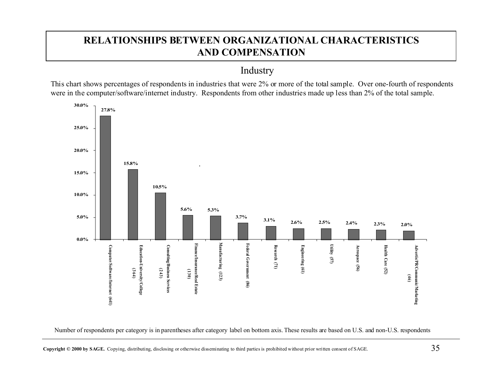# **RELATIONSHIPS BETWEEN ORGANIZATIONAL CHARACTERISTICS AND COMPENSATION**

Industry

This chart shows percentages of respondents in industries that were 2% or more of the total sample. Over one-fourth of respondents were in the computer/software/internet industry. Respondents from other industries made up less than 2% of the total sample.



Number of respondents per category is in parentheses after category label on bottom axis. These results are based on U.S. and non-U.S. respondents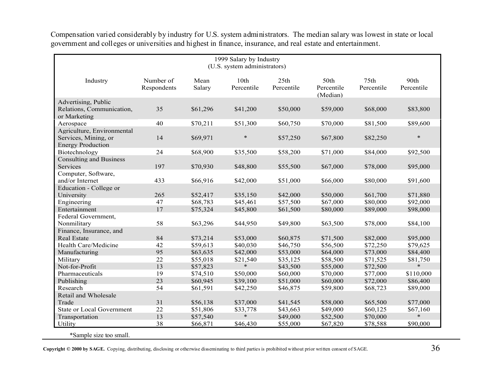| 1999 Salary by Industry<br>(U.S. system administrators)                        |                          |                |                    |                    |                                |                                |                    |
|--------------------------------------------------------------------------------|--------------------------|----------------|--------------------|--------------------|--------------------------------|--------------------------------|--------------------|
| Industry                                                                       | Number of<br>Respondents | Mean<br>Salary | 10th<br>Percentile | 25th<br>Percentile | 50th<br>Percentile<br>(Median) | 75 <sub>th</sub><br>Percentile | 90th<br>Percentile |
| Advertising, Public                                                            |                          |                |                    |                    |                                |                                |                    |
| Relations, Communication,<br>or Marketing                                      | 35                       | \$61,296       | \$41,200           | \$50,000           | \$59,000                       | \$68,000                       | \$83,800           |
| Aerospace                                                                      | 40                       | \$70,211       | \$51,300           | \$60,750           | \$70,000                       | \$81,500                       | \$89,600           |
| Agriculture, Environmental<br>Services, Mining, or<br><b>Energy Production</b> | 14                       | \$69,971       | $\ast$             | \$57,250           | \$67,800                       | \$82,250                       | $\ast$             |
| Biotechnology                                                                  | 24                       | \$68,900       | \$35,500           | \$58,200           | \$71,000                       | \$84,000                       | \$92,500           |
| <b>Consulting and Business</b><br>Services                                     | 197                      | \$70,930       | \$48,800           | \$55,500           | \$67,000                       | \$78,000                       | \$95,000           |
| Computer, Software,<br>and/or Internet                                         | 433                      | \$66,916       | \$42,000           | \$51,000           | \$66,000                       | \$80,000                       | \$91,600           |
| Education - College or                                                         |                          |                |                    |                    |                                |                                |                    |
| University                                                                     | 265                      | \$52,417       | \$35,150           | \$42,000           | \$50,000                       | \$61,700                       | \$71,880           |
| Engineering                                                                    | 47                       | \$68,783       | \$45,461           | \$57,500           | \$67,000                       | \$80,000                       | \$92,000           |
| Entertainment                                                                  | 17                       | \$75,324       | \$45,800           | \$61,500           | \$80,000                       | \$89,000                       | \$98,000           |
| Federal Government,                                                            |                          |                |                    |                    |                                |                                |                    |
| Nonmilitary                                                                    | 58                       | \$63,296       | \$44,950           | \$49,800           | \$63,500                       | \$78,000                       | \$84,100           |
| Finance, Insurance, and                                                        |                          |                |                    |                    |                                |                                |                    |
| <b>Real Estate</b>                                                             | 84                       | \$73,214       | \$53,000           | \$60,875           | \$71,500                       | \$82,000                       | \$95,000           |
| Health Care/Medicine                                                           | 42                       | \$59,613       | \$40,030           | \$46,750           | \$56,500                       | \$72,250                       | \$79,625           |
| Manufacturing                                                                  | 95                       | \$63,635       | \$42,000           | \$53,000           | \$64,000                       | \$73,000                       | \$84,400           |
| Military                                                                       | 22                       | \$55,018       | \$21,540           | \$35,125           | \$58,500                       | \$71,525                       | \$81,750           |
| Not-for-Profit                                                                 | 13                       | \$57,823       | $\ast$             | \$43,500           | \$55,000                       | \$72,500                       | $\ast$             |
| Pharmaceuticals                                                                | 19                       | \$74,510       | \$50,000           | \$60,000           | \$70,000                       | \$77,000                       | \$110,000          |
| Publishing                                                                     | 23                       | \$60,945       | \$39,100           | \$51,000           | \$60,000                       | \$72,000                       | \$86,400           |
| Research                                                                       | 54                       | \$61,591       | \$42,250           | \$46,875           | \$59,800                       | \$68,723                       | \$89,000           |
| Retail and Wholesale                                                           |                          |                |                    |                    |                                |                                |                    |
| Trade                                                                          | 31                       | \$56,138       | \$37,000           | \$41,545           | \$58,000                       | \$65,500                       | \$77,000           |
| <b>State or Local Government</b>                                               | 22                       | \$51,806       | \$33,778           | \$43,663           | \$49,000                       | \$60,125                       | \$67,160           |
| Transportation                                                                 | 13                       | \$57,540       | $\ast$             | \$49,000           | \$52,500                       | \$70,000                       | $\ast$             |
| Utility                                                                        | 38                       | \$66,871       | \$46,430           | \$55,000           | \$67,820                       | \$78,588                       | \$90,000           |

Compensation varied considerably by industry for U.S. system administrators. The median salary was lowest in state or local government and colleges or universities and highest in finance, insurance, and real estate and entertainment.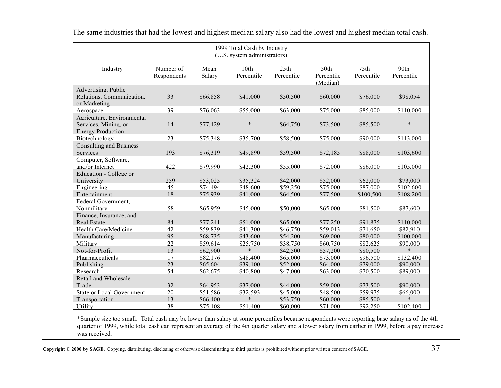| 1999 Total Cash by Industry<br>(U.S. system administrators)                    |                          |                |                    |                                |                                |                    |                    |
|--------------------------------------------------------------------------------|--------------------------|----------------|--------------------|--------------------------------|--------------------------------|--------------------|--------------------|
| Industry                                                                       | Number of<br>Respondents | Mean<br>Salary | 10th<br>Percentile | 25 <sub>th</sub><br>Percentile | 50th<br>Percentile<br>(Median) | 75th<br>Percentile | 90th<br>Percentile |
| Advertising, Public<br>Relations, Communication,<br>or Marketing               | 33                       | \$66,858       | \$41,000           | \$50,500                       | \$60,000                       | \$76,000           | \$98,054           |
| Aerospace                                                                      | 39                       | \$76,063       | \$55,000           | \$63,000                       | \$75,000                       | \$85,000           | \$110,000          |
| Agriculture, Environmental<br>Services, Mining, or<br><b>Energy Production</b> | 14                       | \$77,429       | $\ast$             | \$64,750                       | \$73,500                       | \$85,500           | $\ast$             |
| Biotechnology                                                                  | 23                       | \$75,348       | \$35,700           | \$58,500                       | \$75,000                       | \$90,000           | \$113,000          |
| <b>Consulting and Business</b><br>Services                                     | 193                      | \$76,319       | \$49,890           | \$59,500                       | \$72,185                       | \$88,000           | \$103,600          |
| Computer, Software,<br>and/or Internet<br>Education - College or               | 422                      | \$79,990       | \$42,300           | \$55,000                       | \$72,000                       | \$86,000           | \$105,000          |
| University                                                                     | 259                      | \$53,025       | \$35,324           | \$42,000                       | \$52,000                       | \$62,000           | \$73,000           |
| Engineering                                                                    | 45                       | \$74,494       | \$48,600           | \$59,250                       | \$75,000                       | \$87,000           | \$102,600          |
| Entertainment                                                                  | 18                       | \$75,939       | \$41,000           | \$64,500                       | \$77,500                       | \$100,500          | \$108,200          |
| Federal Government,                                                            |                          |                |                    |                                |                                |                    |                    |
| Nonmilitary                                                                    | 58                       | \$65,959       | \$45,000           | \$50,000                       | \$65,000                       | \$81,500           | \$87,600           |
| Finance, Insurance, and                                                        |                          |                |                    |                                |                                |                    |                    |
| <b>Real Estate</b>                                                             | 84                       | \$77,241       | \$51,000           | \$65,000                       | \$77,250                       | \$91,875           | \$110,000          |
| Health Care/Medicine                                                           | 42                       | \$59,839       | \$41,300           | \$46,750                       | \$59,013                       | \$71,650           | \$82,910           |
| Manufacturing                                                                  | 95                       | \$68,735       | \$43,600           | \$54,200                       | \$69,000                       | \$80,000           | \$100,000          |
| Military                                                                       | 22                       | \$59,614       | \$25,750           | \$38,750                       | \$60,750                       | \$82,625           | \$90,000           |
| Not-for-Profit                                                                 | 13                       | \$62,900       | $\ast$             | \$42,500                       | \$57,200                       | \$80,500           | $\ast$             |
| Pharmaceuticals                                                                | 17                       | \$82,176       | \$48,400           | \$65,000                       | \$73,000                       | \$96,500           | \$132,400          |
| Publishing                                                                     | 23                       | \$65,604       | \$39,100           | \$52,000                       | \$64,000                       | \$79,000           | \$90,000           |
| Research                                                                       | 54                       | \$62,675       | \$40,800           | \$47,000                       | \$63,000                       | \$70,500           | \$89,000           |
| Retail and Wholesale                                                           |                          |                |                    |                                |                                |                    |                    |
| Trade                                                                          | 32                       | \$64,953       | \$37,000           | \$44,000                       | \$59,000                       | \$73,500           | \$90,000           |
| <b>State or Local Government</b>                                               | 20                       | \$51,586       | \$32,593           | \$45,000                       | \$48,500                       | \$59,975           | \$66,000           |
| Transportation                                                                 | 13                       | \$66,400       | $\ast$             | \$53,750                       | \$60,000                       | \$85,500           | $\ast$             |
| Utility                                                                        | 38                       | \$75,108       | \$51,400           | \$60,000                       | \$71,000                       | \$92,250           | \$102,400          |

The same industries that had the lowest and highest median salary also had the lowest and highest median total cash.

\*Sample size too small. Total cash may be lower than salary at some percentiles because respondents were reporting base salary as of the 4th quarter of 1999, while total cash can represent an average of the 4th quarter salary and a lower salary from earlier in 1999, before a pay increase was received.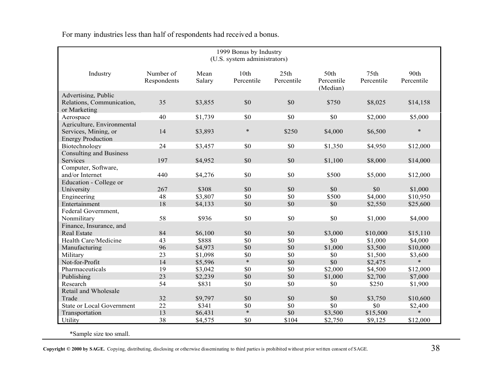| 1999 Bonus by Industry<br>(U.S. system administrators)           |                          |                |                    |                    |                                |                                |                    |
|------------------------------------------------------------------|--------------------------|----------------|--------------------|--------------------|--------------------------------|--------------------------------|--------------------|
| Industry                                                         | Number of<br>Respondents | Mean<br>Salary | 10th<br>Percentile | 25th<br>Percentile | 50th<br>Percentile<br>(Median) | 75 <sub>th</sub><br>Percentile | 90th<br>Percentile |
| Advertising, Public<br>Relations, Communication,<br>or Marketing | 35                       | \$3,855        | \$0                | \$0                | \$750                          | \$8,025                        | \$14,158           |
| Aerospace                                                        | 40                       | \$1,739        | \$0                | \$0                | \$0                            | \$2,000                        | \$5,000            |
| Agriculture, Environmental                                       |                          |                |                    |                    |                                |                                |                    |
| Services, Mining, or<br><b>Energy Production</b>                 | 14                       | \$3,893        | $\ast$             | \$250              | \$4,000                        | \$6,500                        | $\ast$             |
| Biotechnology                                                    | 24                       | \$3,457        | \$0                | \$0                | \$1,350                        | \$4,950                        | \$12,000           |
| <b>Consulting and Business</b>                                   |                          |                |                    |                    |                                |                                |                    |
| Services                                                         | 197                      | \$4,952        | \$0                | \$0                | \$1,100                        | \$8,000                        | \$14,000           |
| Computer, Software,                                              |                          |                |                    |                    |                                |                                |                    |
| and/or Internet                                                  | 440                      | \$4,276        | \$0                | \$0                | \$500                          | \$5,000                        | \$12,000           |
| Education - College or                                           |                          |                |                    |                    |                                |                                |                    |
| University                                                       | 267                      | \$308          | \$0                | \$0                | \$0                            | \$0                            | \$1,000            |
| Engineering                                                      | 48                       | \$3,807        | \$0                | \$0                | \$500                          | \$4,000                        | \$10,950           |
| Entertainment                                                    | 18                       | \$4,133        | \$0                | \$0                | \$0                            | \$2,550                        | \$25,600           |
| Federal Government,                                              |                          |                |                    |                    |                                |                                |                    |
| Nonmilitary                                                      | 58                       | \$936          | \$0                | \$0                | \$0                            | \$1,000                        | \$4,000            |
| Finance, Insurance, and                                          |                          |                |                    |                    |                                |                                |                    |
| Real Estate                                                      | 84                       | \$6,100        | \$0                | \$0                | \$3,000                        | \$10,000                       | \$15,110           |
| Health Care/Medicine                                             | 43                       | \$888          | \$0                | \$0                | \$0                            | \$1,000                        | \$4,000            |
| Manufacturing                                                    | 96                       | \$4,973        | \$0                | \$0                | \$1,000                        | \$3,500                        | \$10,000           |
| Military                                                         | 23                       | \$1,098        | \$0                | \$0                | \$0                            | \$1,500                        | \$3,600            |
| Not-for-Profit                                                   | 14                       | \$5,596        | $\ast$             | \$0                | \$0                            | \$2,475                        | $\ast$             |
| Pharmaceuticals                                                  | 19                       | \$3,042        | \$0                | \$0                | \$2,000                        | \$4,500                        | \$12,000           |
| Publishing                                                       | 23                       | \$2,239        | \$0                | \$0                | \$1,000                        | \$2,700                        | \$7,000            |
| Research                                                         | 54                       | \$831          | \$0                | \$0                | \$0                            | \$250                          | \$1,900            |
| Retail and Wholesale                                             |                          |                |                    |                    |                                |                                |                    |
| Trade                                                            | 32                       | \$9,797        | \$0                | \$0                | \$0                            | \$3,750                        | \$10,600           |
| <b>State or Local Government</b>                                 | 22                       | \$341          | \$0                | \$0                | \$0                            | \$0                            | \$2,400            |
| Transportation                                                   | 13                       | \$6,431        | $\ast$             | \$0                | \$3,500                        | \$15,500                       | $\ast$             |
| Utility                                                          | 38                       | \$4,575        | \$0                | \$104              | \$2,750                        | \$9,125                        | \$12,000           |

For many industries less than half of respondents had received a bonus.

\*Sample size too small.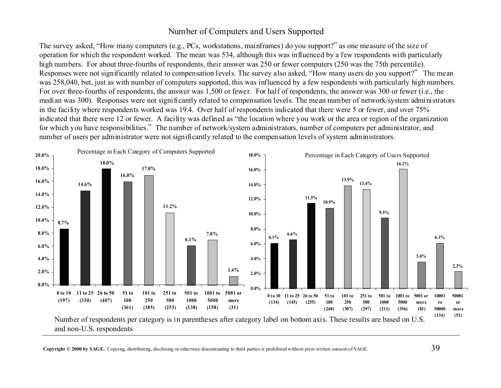#### Number of Computers and Users Supported

The survey asked, "How many computers (e.g., PCs, workstations, mainframes) do you support?" as one measure of the size of operation for which the respondent worked. The mean was 534, although this was influenced by a few respondents with particularly high numbers. For about three-fourths of respondents, their answer was 250 or fewer computers (250 was the 75th percentile). Responses were not significantly related to compensation levels. The survey also asked, "How many users do you support?" The mean was 258,040, but, just as with number of computers supported, this was influenced by a few respondents with particularly high numbers. For over three-fourths of respondents, the answer was 1,500 or fewer. For half of respondents, the answer was 300 or fewer (i.e., the median was 300). Responses were not significantly related to compensation levels. The mean number of network/system administrators in the facility where respondents worked was 19.4. Over half of respondents indicated that there were 5 or fewer, and over 75% indicated that there were 12 or fewer. A facility was defined as "the location where you work or the area or region of the organization for which you have responsibilities." The number of network/system administrators, number of computers per administrator, and number of users per administrator were not significantly related to the compensation levels of system administrators.

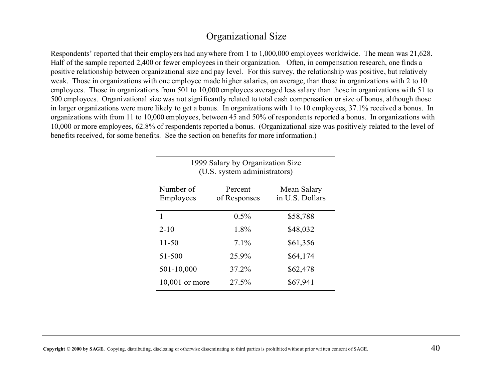#### Organizational Size

Respondents' reported that their employers had anywhere from 1 to 1,000,000 employees worldwide. The mean was 21,628. Half of the sample reported 2,400 or fewer employees in their organization. Often, in compensation research, one finds a positive relationship between organizational size and pay level. For this survey, the relationship was positive, but relatively weak. Those in organizations with one employee made higher salaries, on average, than those in organizations with 2 to 10 employees. Those in organizations from 501 to 10,000 employees averaged less salary than those in organizations with 51 to 500 employees. Organizational size was not significantly related to total cash compensation or size of bonus, although those in larger organizations were more likely to get a bonus. In organizations with 1 to 10 employees, 37.1% received a bonus. In organizations with from 11 to 10,000 employees, between 45 and 50% of respondents reported a bonus. In organizations with 10,000 or more employees, 62.8% of respondents reported a bonus. (Organizational size was positively related to the level of benefits received, for some benefits. See the section on benefits for more information.)

| 1999 Salary by Organization Size<br>(U.S. system administrators) |                         |                                |  |  |  |  |
|------------------------------------------------------------------|-------------------------|--------------------------------|--|--|--|--|
| Number of<br>Employees                                           | Percent<br>of Responses | Mean Salary<br>in U.S. Dollars |  |  |  |  |
| 1                                                                | $0.5\%$                 | \$58,788                       |  |  |  |  |
| $2 - 10$                                                         | 1.8%                    | \$48,032                       |  |  |  |  |
| 11-50                                                            | 7.1%                    | \$61,356                       |  |  |  |  |
| 51-500                                                           | 25.9%                   | \$64,174                       |  |  |  |  |
| 501-10,000                                                       | 37.2%                   | \$62,478                       |  |  |  |  |
| $10,001$ or more                                                 | 27.5%                   | \$67,941                       |  |  |  |  |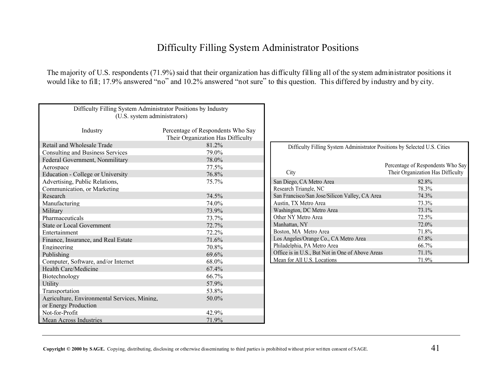#### Difficulty Filling System Administrator Positions

The majority of U.S. respondents (71.9%) said that their organization has difficulty filling all of the system administrator positions it would like to fill; 17.9% answered "no" and 10.2% answered "not sure" to this question. This differed by industry and by city.

| Difficulty Filling System Administrator Positions by Industry<br>(U.S. system administrators) |                                                                        |                                                                           |                                   |
|-----------------------------------------------------------------------------------------------|------------------------------------------------------------------------|---------------------------------------------------------------------------|-----------------------------------|
|                                                                                               |                                                                        |                                                                           |                                   |
| Industry                                                                                      | Percentage of Respondents Who Say<br>Their Organization Has Difficulty |                                                                           |                                   |
| Retail and Wholesale Trade                                                                    | 81.2%                                                                  | Difficulty Filling System Administrator Positions by Selected U.S. Cities |                                   |
| <b>Consulting and Business Services</b>                                                       | 79.0%                                                                  |                                                                           |                                   |
| Federal Government, Nonmilitary                                                               | 78.0%                                                                  |                                                                           |                                   |
| Aerospace                                                                                     | 77.5%                                                                  |                                                                           | Percentage of Respondents Who Say |
| Education - College or University                                                             | 76.8%                                                                  | City                                                                      | Their Organization Has Difficulty |
| Advertising, Public Relations,                                                                | 75.7%                                                                  | San Diego, CA Metro Area                                                  | 82.8%                             |
| Communication, or Marketing                                                                   |                                                                        | Research Triangle, NC                                                     | 78.3%                             |
| Research                                                                                      | 74.5%                                                                  | San Francisco/San Jose/Silicon Valley, CA Area                            | 74.3%                             |
| Manufacturing                                                                                 | 74.0%                                                                  | Austin. TX Metro Area                                                     | 73.3%                             |
| Military                                                                                      | 73.9%                                                                  | Washington, DC Metro Area                                                 | 73.1%                             |
| Pharmaceuticals                                                                               | 73.7%                                                                  | Other NY Metro Area                                                       | 72.5%                             |
| <b>State or Local Government</b>                                                              | 72.7%                                                                  | Manhattan, NY                                                             | 72.0%                             |
| Entertainment                                                                                 | 72.2%                                                                  | Boston, MA Metro Area                                                     | 71.8%                             |
| Finance, Insurance, and Real Estate                                                           | 71.6%                                                                  | Los Angeles/Orange Co., CA Metro Area                                     | 67.8%                             |
| Engineering                                                                                   | 70.8%                                                                  | Philadelphia, PA Metro Area                                               | 66.7%                             |
| Publishing                                                                                    | 69.6%                                                                  | Office is in U.S., But Not in One of Above Areas                          | 71.1%                             |
| Computer, Software, and/or Internet                                                           | 68.0%                                                                  | Mean for All U.S. Locations                                               | 71.9%                             |
| Health Care/Medicine                                                                          | 67.4%                                                                  |                                                                           |                                   |
| Biotechnology                                                                                 | 66.7%                                                                  |                                                                           |                                   |
| Utility                                                                                       | 57.9%                                                                  |                                                                           |                                   |
| Transportation                                                                                | 53.8%                                                                  |                                                                           |                                   |
| Agriculture, Environmental Services, Mining,                                                  | 50.0%                                                                  |                                                                           |                                   |
| or Energy Production                                                                          |                                                                        |                                                                           |                                   |
| Not-for-Profit                                                                                | 42.9%                                                                  |                                                                           |                                   |
| Mean Across Industries                                                                        | 71.9%                                                                  |                                                                           |                                   |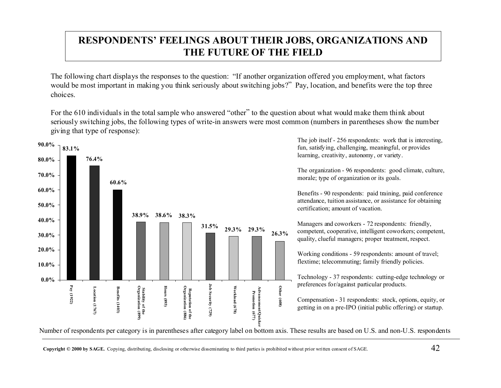# **RESPONDENTS' FEELINGS ABOUT THEIR JOBS, ORGANIZATIONS AND THE FUTURE OF THE FIELD**

The following chart displays the responses to the question: "If another organization offered you employment, what factors would be most important in making you think seriously about switching jobs?" Pay, location, and benefits were the top three choices.

For the 610 individuals in the total sample who answered "other" to the question about what would make them think about seriously switching jobs, the following types of write-in answers were most common (numbers in parentheses show the number giving that type of response):



The job itself - 256 respondents: work that is interesting, fun, satisfying, challenging, meaningful, or provides learning, creativity, autonomy, or variety.

The organization - 96 respondents: good climate, culture, morale; type of organization or its goals.

Benefits - 90 respondents: paid training, paid conference attendance, tuition assistance, or assistance for obtaining certification; amount of vacation.

Managers and coworkers - 72 respondents: friendly, competent, cooperative, intelligent coworkers; competent, quality, clueful managers; proper treatment, respect.

Working conditions - 59 respondents: amount of travel; flextime; telecommuting; family friendly policies.

Technology - 37 respondents: cutting-edge technology or preferences for/against particular products.

Compensation - 31 respondents: stock, options, equity, or getting in on a pre-IPO (initial public offering) or startup.

Number of respondents per category is in parentheses after category label on bottom axis. These results are based on U.S. and non-U.S. respondents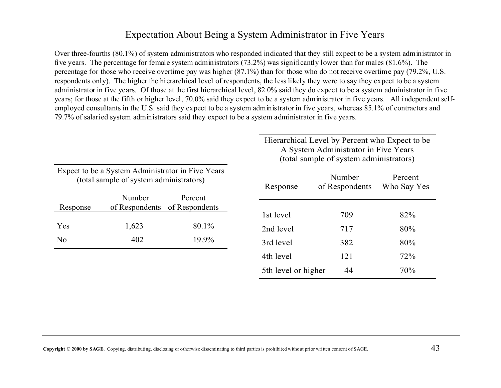# Expectation About Being a System Administrator in Five Years

Over three-fourths (80.1%) of system administrators who responded indicated that they still expect to be a system administrator in five years. The percentage for female system administrators (73.2%) was significantly lower than for males (81.6%). The percentage for those who receive overtime pay was higher (87.1%) than for those who do not receive overtime pay (79.2%, U.S. respondents only). The higher the hierarchical level of respondents, the less likely they were to say they expect to be a system administrator in five years. Of those at the first hierarchical level, 82.0% said they do expect to be a system administrator in five years; for those at the fifth or higher level, 70.0% said they expect to be a system administrator in five years. All independent selfemployed consultants in the U.S. said they expect to be a system administrator in five years, whereas 85.1% of contractors and 79.7% of salaried system administrators said they expect to be a system administrator in five years.

|          |                                                                                              |                           | Hierarchical Level by Percent who Expect to be<br>A System Administrator in Five Years<br>(total sample of system administrators) |                          |                        |  |  |
|----------|----------------------------------------------------------------------------------------------|---------------------------|-----------------------------------------------------------------------------------------------------------------------------------|--------------------------|------------------------|--|--|
|          | Expect to be a System Administrator in Five Years<br>(total sample of system administrators) |                           | Response                                                                                                                          | Number<br>of Respondents | Percent<br>Who Say Yes |  |  |
| Response | Number<br>of Respondents                                                                     | Percent<br>of Respondents | 1st level                                                                                                                         | 709                      | 82%                    |  |  |
| Yes      | 1,623                                                                                        | 80.1%                     | 2nd level                                                                                                                         | 717                      | 80%                    |  |  |
| No.      | 402                                                                                          | 19.9%                     | 3rd level                                                                                                                         | 382                      | 80%                    |  |  |
|          |                                                                                              |                           | 4th level                                                                                                                         | 121                      | 72%                    |  |  |
|          |                                                                                              |                           | 5th level or higher                                                                                                               | 44                       | 70%                    |  |  |
|          |                                                                                              |                           |                                                                                                                                   |                          |                        |  |  |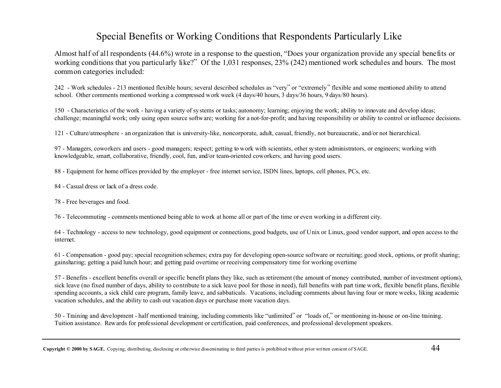#### Special Benefits or Working Conditions that Respondents Particularly Like

Almost half of all respondents (44.6%) wrote in a response to the question, "Does your organization provide any special benefits or working conditions that you particularly like?" Of the 1,031 responses, 23% (242) mentioned work schedules and hours. The most common categories included:

242 - Work schedules - 213 mentioned flexible hours; several described schedules as "very" or "extremely" flexible and some mentioned ability to attend school. Other comments mentioned working a compressed work week (4 days/40 hours, 3 days/36 hours, 9 days/80 hours).

150 - Characteristics of the work - having a variety of systems or tasks; autonomy; learning; enjoying the work; ability to innovate and develop ideas; challenge; meaningful work; only using open source software; working for a not-for-profit; and having responsibility or ability to control or influence decisions.

121 - Culture/atmosphere - an organization that is university-like, noncorporate, adult, casual, friendly, not bureaucratic, and/or not hierarchical.

97 - Managers, coworkers and users - good managers; respect; getting to work with scientists, other system administrators, or engineers; working with knowledgeable, smart, collaborative, friendly, cool, fun, and/or team-oriented coworkers; and having good users.

88 - Equipment for home offices provided by the employer - free internet service, ISDN lines, laptops, cell phones, PCs, etc.

84 - Casual dress or lack of a dress code.

78 - Free beverages and food.

76 - Telecommuting - comments mentioned being able to work at home all or part of the time or even working in a different city.

64 - Technology - access to new technology, good equipment or connections, good budgets, use of Unix or Linux, good vendor support, and open access to the internet.

61 - Compensation - good pay; special recognition schemes; extra pay for developing open-source software or recruiting; good stock, options, or profit sharing; gainsharing; getting a paid lunch hour; and getting paid overtime or receiving compensatory time for working overtime

57 - Benefits - excellent benefits overall or specific benefit plans they like, such as retirement (the amount of money contributed, number of investment options), sick leave (no fixed number of days, ability to contribute to a sick leave pool for those in need), full benefits with part time work, flexible benefit plans, flexible spending accounts, a sick child care program, family leave, and sabbaticals. Vacations, including comments about having four or more weeks, liking academic vacation schedules, and the ability to cash out vacation days or purchase more vacation days.

50 - Training and development - half mentioned training, including comments like "unlimited" or "loads of," or mentioning in-house or on-line training. Tuition assistance. Rewards for professional development or certification, paid conferences, and professional development speakers.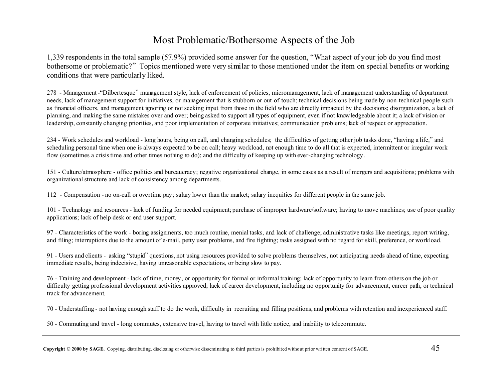# Most Problematic/Bothersome Aspects of the Job

1,339 respondents in the total sample (57.9%) provided some answer for the question, "What aspect of your job do you find most bothersome or problematic?" Topics mentioned were very similar to those mentioned under the item on special benefits or working conditions that were particularly liked.

278 - Management -"Dilbertesque" management style, lack of enforcement of policies, micromanagement, lack of management understanding of department needs, lack of management support for initiatives, or management that is stubborn or out-of-touch; technical decisions being made by non-technical people such as financial officers, and management ignoring or not seeking input from those in the field who are directly impacted by the decisions; disorganization, a lack of planning, and making the same mistakes over and over; being asked to support all types of equipment, even if not knowledgeable about it; a lack of vision or leadership, constantly changing priorities, and poor implementation of corporate initiatives; communication problems; lack of respect or appreciation.

234 - Work schedules and workload - long hours, being on call, and changing schedules; the difficulties of getting other job tasks done, "having a life," and scheduling personal time when one is always expected to be on call; heavy workload, not enough time to do all that is expected, intermittent or irregular work flow (sometimes a crisis time and other times nothing to do); and the difficulty of keeping up with ever-changing technology.

151 - Culture/atmosphere - office politics and bureaucracy; negative organizational change, in some cases as a result of mergers and acquisitions; problems with organizational structure and lack of consistency among departments.

112 - Compensation - no on-call or overtime pay; salary lower than the market; salary inequities for different people in the same job.

101 - Technology and resources - lack of funding for needed equipment; purchase of improper hardware/software; having to move machines; use of poor quality applications; lack of help desk or end user support.

97 - Characteristics of the work - boring assignments, too much routine, menial tasks, and lack of challenge; administrative tasks like meetings, report writing, and filing; interruptions due to the amount of e-mail, petty user problems, and fire fighting; tasks assigned with no regard for skill, preference, or workload.

91 - Users and clients - asking "stupid" questions, not using resources provided to solve problems themselves, not anticipating needs ahead of time, expecting immediate results, being indecisive, having unreasonable expectations, or being slow to pay.

76 - Training and development - lack of time, money, or opportunity for formal or informal training; lack of opportunity to learn from others on the job or difficulty getting professional development activities approved; lack of career development, including no opportunity for advancement, career path, or technical track for advancement.

70 - Understaffing - not having enough staff to do the work, difficulty in recruiting and filling positions, and problems with retention and inexperienced staff.

50 - Commuting and travel - long commutes, extensive travel, having to travel with little notice, and inability to telecommute.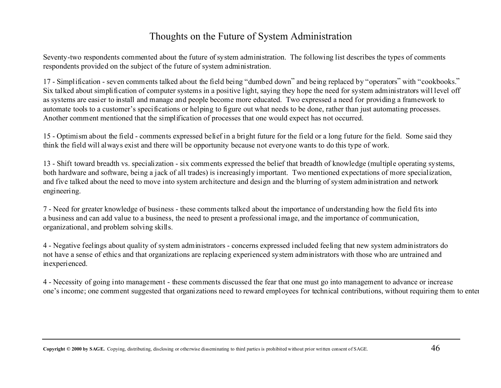# Thoughts on the Future of System Administration

Seventy-two respondents commented about the future of system administration. The following list describes the types of comments respondents provided on the subject of the future of system administration.

17 - Simplification - seven comments talked about the field being "dumbed down" and being replaced by "operators" with "cookbooks." Six talked about simplification of computer systems in a positive light, saying they hope the need for system administrators will level off as systems are easier to install and manage and people become more educated. Two expressed a need for providing a framework to automate tools to a customer's specifications or helping to figure out what needs to be done, rather than just automating processes. Another comment mentioned that the simplification of processes that one would expect has not occurred.

15 - Optimism about the field - comments expressed belief in a bright future for the field or a long future for the field. Some said they think the field will always exist and there will be opportunity because not everyone wants to do this type of work.

13 - Shift toward breadth vs. specialization - six comments expressed the belief that breadth of knowledge (multiple operating systems, both hardware and software, being a jack of all trades) is increasingly important. Two mentioned expectations of more specialization, and five talked about the need to move into system architecture and design and the blurring of system administration and network engineering.

7 - Need for greater knowledge of business - these comments talked about the importance of understanding how the field fits into a business and can add value to a business, the need to present a professional image, and the importance of communication, organizational, and problem solving skills.

4 - Negative feelings about quality of system administrators - concerns expressed included feeling that new system administrators do not have a sense of ethics and that organizations are replacing experienced system administrators with those who are untrained and inexperienced.

4 - Necessity of going into management - these comments discussed the fear that one must go into management to advance or increase one's income; one comment suggested that organizations need to reward employees for technical contributions, without requiring them to enter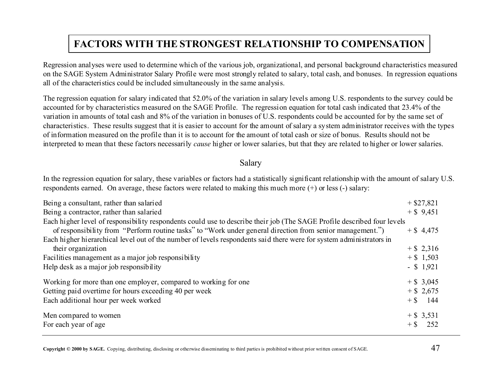# **FACTORS WITH THE STRONGEST RELATIONSHIP TO COMPENSATION**

Regression analyses were used to determine which of the various job, organizational, and personal background characteristics measured on the SAGE System Administrator Salary Profile were most strongly related to salary, total cash, and bonuses. In regression equations all of the characteristics could be included simultaneously in the same analysis.

The regression equation for salary indicated that 52.0% of the variation in salary levels among U.S. respondents to the survey could be accounted for by characteristics measured on the SAGE Profile. The regression equation for total cash indicated that 23.4% of the variation in amounts of total cash and 8% of the variation in bonuses of U.S. respondents could be accounted for by the same set of characteristics. These results suggest that it is easier to account for the amount of salary a system administrator receives with the types of information measured on the profile than it is to account for the amount of total cash or size of bonus. Results should not be interpreted to mean that these factors necessarily *cause* higher or lower salaries, but that they are related to higher or lower salaries.

#### Salary

In the regression equation for salary, these variables or factors had a statistically significant relationship with the amount of salary U.S. respondents earned. On average, these factors were related to making this much more (+) or less (-) salary:

| Being a consultant, rather than salaried                                                                                |        | $+$ \$27,821 |
|-------------------------------------------------------------------------------------------------------------------------|--------|--------------|
| Being a contractor, rather than salaried                                                                                |        | $+$ \$ 9,451 |
| Each higher level of responsibility respondents could use to describe their job (The SAGE Profile described four levels |        |              |
| of responsibility from "Perform routine tasks" to "Work under general direction from senior management.")               |        | $+$ \$ 4,475 |
| Each higher hierarchical level out of the number of levels respondents said there were for system administrators in     |        |              |
| their organization                                                                                                      |        | $+$ \$ 2,316 |
| Facilities management as a major job responsibility                                                                     |        | $+$ \$ 1,503 |
| Help desk as a major job responsibility                                                                                 |        | $-$ \$ 1,921 |
| Working for more than one employer, compared to working for one                                                         |        | $+$ \$ 3,045 |
| Getting paid overtime for hours exceeding 40 per week                                                                   |        | $+$ \$ 2,675 |
| Each additional hour per week worked                                                                                    |        | $+$ \$ 144   |
| Men compared to women                                                                                                   |        | $+$ \$ 3,531 |
| For each year of age                                                                                                    | $+$ \$ | 252          |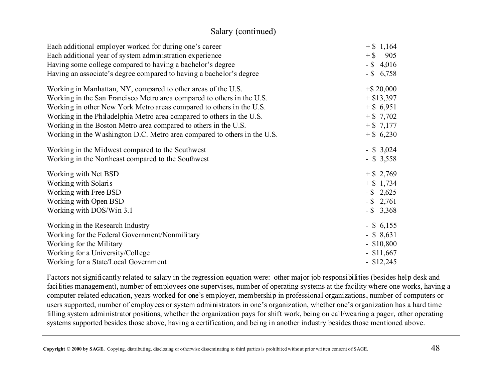#### Salary (continued)

| Each additional employer worked for during one's career                  | $+$ \$ 1,164  |
|--------------------------------------------------------------------------|---------------|
| Each additional year of system administration experience                 | 905<br>$+$ \$ |
| Having some college compared to having a bachelor's degree               | $-$ \$ 4,016  |
| Having an associate's degree compared to having a bachelor's degree      | $-$ \$ 6,758  |
| Working in Manhattan, NY, compared to other areas of the U.S.            | $+$ \$20,000  |
| Working in the San Francisco Metro area compared to others in the U.S.   | $+$ \$13,397  |
| Working in other New York Metro areas compared to others in the U.S.     | $+$ \$ 6,951  |
| Working in the Philadelphia Metro area compared to others in the U.S.    | $+ $7,702$    |
| Working in the Boston Metro area compared to others in the U.S.          | $+ $7,177$    |
| Working in the Washington D.C. Metro area compared to others in the U.S. | $+$ \$ 6,230  |
| Working in the Midwest compared to the Southwest                         | $-$ \$ 3,024  |
| Working in the Northeast compared to the Southwest                       | $-$ \$ 3,558  |
| Working with Net BSD                                                     | $+$ \$ 2,769  |
| Working with Solaris                                                     | $+$ \$ 1,734  |
| Working with Free BSD                                                    | $-$ \$ 2,625  |
| Working with Open BSD                                                    | $-$ \$ 2,761  |
| Working with DOS/Win 3.1                                                 | $-$ \$ 3,368  |
| Working in the Research Industry                                         | $-$ \$ 6,155  |
| Working for the Federal Government/Nonmilitary                           | $-$ \$ 8,631  |
| Working for the Military                                                 | $-$ \$10,800  |
| Working for a University/College                                         | $-$ \$11,667  |
| Working for a State/Local Government                                     | $-$ \$12,245  |

Factors not significantly related to salary in the regression equation were: other major job responsibilities (besides help desk and facilities management), number of employees one supervises, number of operating systems at the facility where one works, having a computer-related education, years worked for one's employer, membership in professional organizations, number of computers or users supported, number of employees or system administrators in one's organization, whether one's organization has a hard time filling system administrator positions, whether the organization pays for shift work, being on call/wearing a pager, other operating systems supported besides those above, having a certification, and being in another industry besides those mentioned above.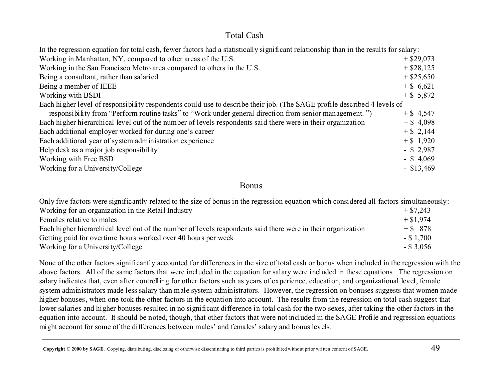#### Total Cash

| In the regression equation for total cash, fewer factors had a statistically significant relationship than in the results for salary: |              |
|---------------------------------------------------------------------------------------------------------------------------------------|--------------|
| Working in Manhattan, NY, compared to other areas of the U.S.                                                                         | $+$ \$29,073 |
| Working in the San Francisco Metro area compared to others in the U.S.                                                                | $+$ \$28,125 |
| Being a consultant, rather than salaried                                                                                              | $+$ \$25,650 |
| Being a member of IEEE                                                                                                                | $+$ \$ 6,621 |
| Working with BSDI                                                                                                                     | $+$ \$ 5,872 |
| Each higher level of responsibility respondents could use to describe their job. (The SAGE profile described 4 levels of              |              |
| responsibility from "Perform routine tasks" to "Work under general direction from senior management.")                                | $+$ \$ 4,547 |
| Each higher hierarchical level out of the number of levels respondents said there were in their organization                          | $+$ \$ 4,098 |
| Each additional employer worked for during one's career                                                                               | $+$ \$ 2,144 |
| Each additional year of system administration experience                                                                              | $+$ \$ 1,920 |
| Help desk as a major job responsibility                                                                                               | $-$ \$ 2,987 |
| Working with Free BSD                                                                                                                 | $-$ \$ 4,069 |
| Working for a University/College                                                                                                      | $-$ \$13,469 |

#### Bonus

Only five factors were significantly related to the size of bonus in the regression equation which considered all factors simultaneously: Working for an organization in the Retail Industry  $+ $7,243$ Females relative to maless  $+ $1,974$ Each higher hierarchical level out of the number of levels respondents said there were in their organization  $+ $ 878$ Getting paid for overtime hours worked over 40 hours per week - \$ 1,700 Working for a University/College - \$ 3,056

None of the other factors significantly accounted for differences in the size of total cash or bonus when included in the regression with the above factors. All of the same factors that were included in the equation for salary were included in these equations. The regression on salary indicates that, even after controlling for other factors such as years of experience, education, and organizational level, female system administrators made less salary than male system administrators. However, the regression on bonuses suggests that women made higher bonuses, when one took the other factors in the equation into account. The results from the regression on total cash suggest that lower salaries and higher bonuses resulted in no significant difference in total cash for the two sexes, after taking the other factors in the equation into account. It should be noted, though, that other factors that were not included in the SAGE Profile and regression equations might account for some of the differences between males' and females' salary and bonus levels.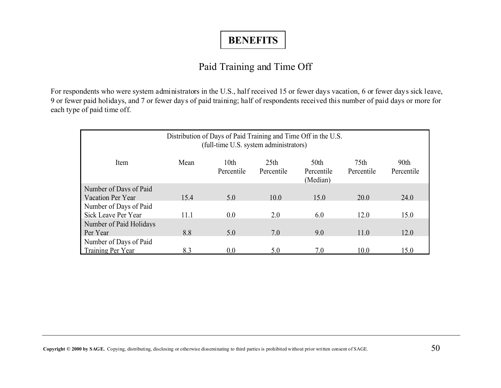# **BENEFITS**

# Paid Training and Time Off

For respondents who were system administrators in the U.S., half received 15 or fewer days vacation, 6 or fewer days sick leave, 9 or fewer paid holidays, and 7 or fewer days of paid training; half of respondents received this number of paid days or more for each type of paid time off.

| Distribution of Days of Paid Training and Time Off in the U.S.<br>(full-time U.S. system administrators)                                                                   |      |     |      |      |      |      |  |  |
|----------------------------------------------------------------------------------------------------------------------------------------------------------------------------|------|-----|------|------|------|------|--|--|
| 75 <sub>th</sub><br>90th<br>Mean<br>10 <sub>th</sub><br>25 <sub>th</sub><br>50th<br>Item<br>Percentile<br>Percentile<br>Percentile<br>Percentile<br>Percentile<br>(Median) |      |     |      |      |      |      |  |  |
| Number of Days of Paid                                                                                                                                                     |      |     |      |      |      |      |  |  |
| Vacation Per Year                                                                                                                                                          | 15.4 | 5.0 | 10.0 | 15.0 | 20.0 | 24.0 |  |  |
| Number of Days of Paid                                                                                                                                                     |      |     |      |      |      |      |  |  |
| Sick Leave Per Year                                                                                                                                                        | 11.1 | 0.0 | 2.0  | 6.0  | 12.0 | 15.0 |  |  |
| Number of Paid Holidays                                                                                                                                                    |      |     |      |      |      |      |  |  |
| Per Year                                                                                                                                                                   | 8.8  | 5.0 | 7.0  | 9.0  | 11.0 | 12.0 |  |  |
| Number of Days of Paid                                                                                                                                                     |      |     |      |      |      |      |  |  |
| Training Per Year                                                                                                                                                          | 8.3  | 0.0 | 5.0  | 7.0  | 10.0 | 15.0 |  |  |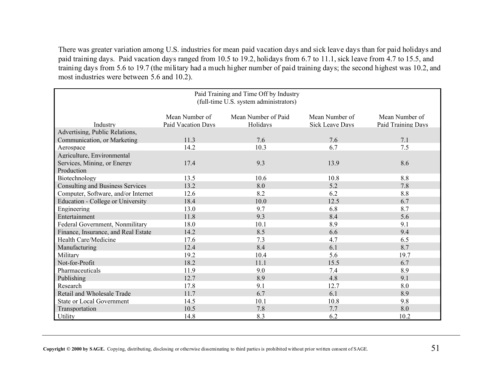There was greater variation among U.S. industries for mean paid vacation days and sick leave days than for paid holidays and paid training days. Paid vacation days ranged from 10.5 to 19.2, holidays from 6.7 to 11.1, sick leave from 4.7 to 15.5, and training days from 5.6 to 19.7 (the military had a much higher number of paid training days; the second highest was 10.2, and most industries were between 5.6 and 10.2).

| Paid Training and Time Off by Industry<br>(full-time U.S. system administrators) |                                      |                                 |                                          |                                      |  |  |  |  |
|----------------------------------------------------------------------------------|--------------------------------------|---------------------------------|------------------------------------------|--------------------------------------|--|--|--|--|
| Industry                                                                         | Mean Number of<br>Paid Vacation Days | Mean Number of Paid<br>Holidays | Mean Number of<br><b>Sick Leave Days</b> | Mean Number of<br>Paid Training Days |  |  |  |  |
| Advertising, Public Relations,                                                   |                                      |                                 |                                          |                                      |  |  |  |  |
| Communication, or Marketing                                                      | 11.3                                 | 7.6                             | 7.6                                      | 7.1                                  |  |  |  |  |
| Aerospace                                                                        | 14.2                                 | 10.3                            | 6.7                                      | 7.5                                  |  |  |  |  |
| Agriculture, Environmental                                                       |                                      |                                 |                                          |                                      |  |  |  |  |
| Services, Mining, or Energy                                                      | 17.4                                 | 9.3                             | 13.9                                     | 8.6                                  |  |  |  |  |
| Production                                                                       |                                      |                                 |                                          |                                      |  |  |  |  |
| Biotechnology                                                                    | 13.5                                 | 10.6                            | 10.8                                     | 8.8                                  |  |  |  |  |
| <b>Consulting and Business Services</b>                                          | 13.2                                 | 8.0                             | 5.2                                      | 7.8                                  |  |  |  |  |
| Computer, Software, and/or Internet                                              | 12.6                                 | 8.2                             | 6.2                                      | 8.8                                  |  |  |  |  |
| Education - College or University                                                | 18.4                                 | 10.0                            | 12.5                                     | 6.7                                  |  |  |  |  |
| Engineering                                                                      | 13.0                                 | 9.7                             | 6.8                                      | 8.7                                  |  |  |  |  |
| Entertainment                                                                    | 11.8                                 | 9.3                             | 8.4                                      | 5.6                                  |  |  |  |  |
| Federal Government, Nonmilitary                                                  | 18.0                                 | 10.1                            | 8.9                                      | 9.1                                  |  |  |  |  |
| Finance, Insurance, and Real Estate                                              | 14.2                                 | 8.5                             | 6.6                                      | 9.4                                  |  |  |  |  |
| Health Care/Medicine                                                             | 17.6                                 | 7.3                             | 4.7                                      | 6.5                                  |  |  |  |  |
| Manufacturing                                                                    | 12.4                                 | 8.4                             | 6.1                                      | 8.7                                  |  |  |  |  |
| Military                                                                         | 19.2                                 | 10.4                            | 5.6                                      | 19.7                                 |  |  |  |  |
| Not-for-Profit                                                                   | 18.2                                 | 11.1                            | 15.5                                     | 6.7                                  |  |  |  |  |
| Pharmaceuticals                                                                  | 11.9                                 | 9.0                             | 7.4                                      | 8.9                                  |  |  |  |  |
| Publishing                                                                       | 12.7                                 | 8.9                             | 4.8                                      | 9.1                                  |  |  |  |  |
| Research                                                                         | 17.8                                 | 9.1                             | 12.7                                     | 8.0                                  |  |  |  |  |
| Retail and Wholesale Trade                                                       | 11.7                                 | 6.7                             | 6.1                                      | 8.9                                  |  |  |  |  |
| <b>State or Local Government</b>                                                 | 14.5                                 | 10.1                            | 10.8                                     | 9.8                                  |  |  |  |  |
| Transportation                                                                   | 10.5                                 | 7.8                             | 7.7                                      | 8.0                                  |  |  |  |  |
| Utility                                                                          | 14.8                                 | 8.3                             | 6.2                                      | 10.2                                 |  |  |  |  |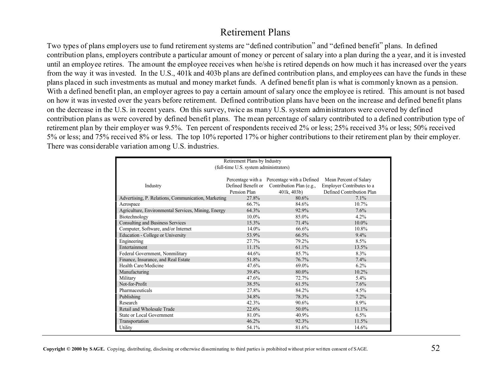#### Retirement Plans

Two types of plans employers use to fund retirement systems are "defined contribution" and "defined benefit" plans. In defined contribution plans, employers contribute a particular amount of money or percent of salary into a plan during the a year, and it is invested until an employee retires. The amount the employee receives when he/she is retired depends on how much it has increased over the years from the way it was invested. In the U.S., 401k and 403b plans are defined contribution plans, and employees can have the funds in these plans placed in such investments as mutual and money market funds. A defined benefit plan is what is commonly known as a pension. With a defined benefit plan, an employer agrees to pay a certain amount of salary once the employee is retired. This amount is not based on how it was invested over the years before retirement. Defined contribution plans have been on the increase and defined benefit plans on the decrease in the U.S. in recent years. On this survey, twice as many U.S. system administrators were covered by defined contribution plans as were covered by defined benefit plans. The mean percentage of salary contributed to a defined contribution type of retirement plan by their employer was 9.5%. Ten percent of respondents received 2% or less; 25% received 3% or less; 50% received 5% or less; and 75% received 8% or less. The top 10% reported 17% or higher contributions to their retirement plan by their employer. There was considerable variation among U.S. industries.

| Retirement Plans by Industry                        |                                        |                                             |                                  |  |  |  |  |  |  |  |
|-----------------------------------------------------|----------------------------------------|---------------------------------------------|----------------------------------|--|--|--|--|--|--|--|
|                                                     | (full-time U.S. system administrators) |                                             |                                  |  |  |  |  |  |  |  |
|                                                     |                                        |                                             |                                  |  |  |  |  |  |  |  |
|                                                     |                                        | Percentage with a Percentage with a Defined | Mean Percent of Salary           |  |  |  |  |  |  |  |
| Industry                                            | Defined Benefit or                     | Contribution Plan (e.g.,                    | <b>Employer Contributes to a</b> |  |  |  |  |  |  |  |
|                                                     | Pension Plan                           | 401k, 403b                                  | Defined Contribution Plan        |  |  |  |  |  |  |  |
| Advertising, P. Relations, Communication, Marketing | 27.8%                                  | 80.6%                                       | $7.1\%$                          |  |  |  |  |  |  |  |
| Aerospace                                           | 66.7%                                  | 84.6%                                       | 10.7%                            |  |  |  |  |  |  |  |
| Agriculture, Environmental Services, Mining, Energy | 64.3%                                  | 92.9%                                       | 7.6%                             |  |  |  |  |  |  |  |
| Biotechnology                                       | 10.0%                                  | 85.0%                                       | 4.2%                             |  |  |  |  |  |  |  |
| Consulting and Business Services                    | 15.3%                                  | 71.4%                                       | $10.0\%$                         |  |  |  |  |  |  |  |
| Computer, Software, and/or Internet                 | 14.0%                                  | 66.6%                                       | $10.8\%$                         |  |  |  |  |  |  |  |
| Education - College or University                   | 53.9%                                  | 66.5%                                       | 9.4%                             |  |  |  |  |  |  |  |
| Engineering                                         | 27.7%                                  | 79.2%                                       | $8.5\%$                          |  |  |  |  |  |  |  |
| Entertainment                                       | 11.1%                                  | 61.1%                                       | 13.5%                            |  |  |  |  |  |  |  |
| Federal Government, Nonmilitary                     | 44.6%                                  | 85.7%                                       | 8.3%                             |  |  |  |  |  |  |  |
| Finance, Insurance, and Real Estate                 | 51.8%                                  | 76.7%                                       | 7.4%                             |  |  |  |  |  |  |  |
| Health Care/Medicine                                | 47.6%                                  | 69.0%                                       | $6.2\%$                          |  |  |  |  |  |  |  |
| Manufacturing                                       | 39.4%                                  | 80.0%                                       | 10.2%                            |  |  |  |  |  |  |  |
| Military                                            | 47.6%                                  | 72.7%                                       | 5.4%                             |  |  |  |  |  |  |  |
| Not-for-Profit                                      | 38.5%                                  | 61.5%                                       | 7.6%                             |  |  |  |  |  |  |  |
| Pharmaceuticals                                     | 27.8%                                  | 84.2%                                       | $4.5\%$                          |  |  |  |  |  |  |  |
| Publishing                                          | 34.8%                                  | 78.3%                                       | 7.2%                             |  |  |  |  |  |  |  |
| Research                                            | 42.3%                                  | 90.6%                                       | 8.9%                             |  |  |  |  |  |  |  |
| Retail and Wholesale Trade                          | 22.6%                                  | 50.0%                                       | 11.1%                            |  |  |  |  |  |  |  |
| <b>State or Local Government</b>                    | 81.0%                                  | 40.9%                                       | $6.5\%$                          |  |  |  |  |  |  |  |
| Transportation                                      | 46.2%                                  | 92.3%                                       | 11.5%                            |  |  |  |  |  |  |  |
| Utility                                             | 54.1%                                  | 81.6%                                       | 14.6%                            |  |  |  |  |  |  |  |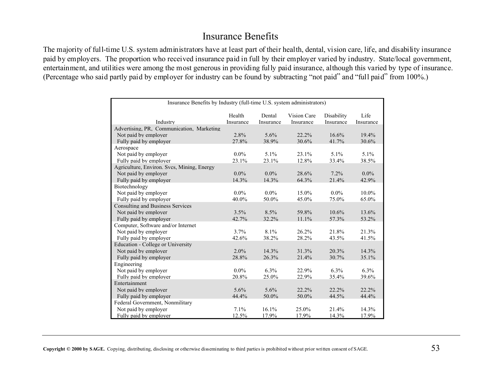# Insurance Benefits

The majority of full-time U.S. system administrators have at least part of their health, dental, vision care, life, and disability insurance paid by employers. The proportion who received insurance paid in full by their employer varied by industry. State/local government, entertainment, and utilities were among the most generous in providing fully paid insurance, although this varied by type of insurance. (Percentage who said partly paid by employer for industry can be found by subtracting "not paid" and "full paid" from 100%.)

|                                            | Insurance Benefits by Industry (full-time U.S. system administrators) |                     |                          |                         |                   |  |  |
|--------------------------------------------|-----------------------------------------------------------------------|---------------------|--------------------------|-------------------------|-------------------|--|--|
| Industry                                   | Health<br>Insurance                                                   | Dental<br>Insurance | Vision Care<br>Insurance | Disability<br>Insurance | Life<br>Insurance |  |  |
| Advertising, PR, Communication, Marketing  |                                                                       |                     |                          |                         |                   |  |  |
| Not paid by employer                       | 2.8%                                                                  | 5.6%                | 22.2%                    | 16.6%                   | 19.4%             |  |  |
| Fully paid by employer                     | 27.8%                                                                 | 38.9%               | 30.6%                    | 41.7%                   | 30.6%             |  |  |
| Aerospace                                  |                                                                       |                     |                          |                         |                   |  |  |
| Not paid by employer                       | $0.0\%$                                                               | 5.1%                | 23.1%                    | $5.1\%$                 | $5.1\%$           |  |  |
| Fully paid by employer                     | 23.1%                                                                 | 23.1%               | 12.8%                    | 33.4%                   | 38.5%             |  |  |
| Agriculture, Environ. Svcs, Mining, Energy |                                                                       |                     |                          |                         |                   |  |  |
| Not paid by employer                       | $0.0\%$                                                               | $0.0\%$             | 28.6%                    | 7.2%                    | $0.0\%$           |  |  |
| Fully paid by employer                     | 14.3%                                                                 | 14.3%               | 64.3%                    | 21.4%                   | 42.9%             |  |  |
| Biotechnology                              |                                                                       |                     |                          |                         |                   |  |  |
| Not paid by employer                       | $0.0\%$                                                               | $0.0\%$             | $15.0\%$                 | $0.0\%$                 | 10.0%             |  |  |
| Fully paid by employer                     | 40.0%                                                                 | 50.0%               | 45.0%                    | 75.0%                   | 65.0%             |  |  |
| <b>Consulting and Business Services</b>    |                                                                       |                     |                          |                         |                   |  |  |
| Not paid by employer                       | 3.5%                                                                  | 8.5%                | 59.8%                    | 10.6%                   | 13.6%             |  |  |
| Fully paid by employer                     | 42.7%                                                                 | 32.2%               | 11.1%                    | 57.3%                   | 53.2%             |  |  |
| Computer, Software and/or Internet         |                                                                       |                     |                          |                         |                   |  |  |
| Not paid by employer                       | 3.7%                                                                  | 8.1%                | 26.2%                    | 21.8%                   | 21.3%             |  |  |
| Fully paid by employer                     | 42.6%                                                                 | 38.2%               | 28.2%                    | 43.5%                   | 41.5%             |  |  |
| Education - College or University          |                                                                       |                     |                          |                         |                   |  |  |
| Not paid by employer                       | $2.0\%$                                                               | 14.3%               | 31.3%                    | 20.3%                   | 14.3%             |  |  |
| Fully paid by employer                     | 28.8%                                                                 | 26.3%               | 21.4%                    | 30.7%                   | 35.1%             |  |  |
| Engineering                                |                                                                       |                     |                          |                         |                   |  |  |
| Not paid by employer                       | $0.0\%$                                                               | 6.3%                | 22.9%                    | 6.3%                    | $6.3\%$           |  |  |
| Fully paid by employer                     | 20.8%                                                                 | 25.0%               | 22.9%                    | 35.4%                   | 39.6%             |  |  |
| Entertainment                              |                                                                       |                     |                          |                         |                   |  |  |
| Not paid by employer                       | 5.6%                                                                  | 5.6%                | 22.2%                    | 22.2%                   | 22.2%             |  |  |
| Fully paid by employer                     | 44.4%                                                                 | 50.0%               | 50.0%                    | 44.5%                   | 44.4%             |  |  |
| Federal Government, Nonmilitary            |                                                                       |                     |                          |                         |                   |  |  |
| Not paid by employer                       | 7.1%                                                                  | 16.1%               | 25.0%                    | 21.4%                   | 14.3%             |  |  |
| Fully paid by employer                     | 12.5%                                                                 | 17.9%               | 17.9%                    | 14.3%                   | 17.9%             |  |  |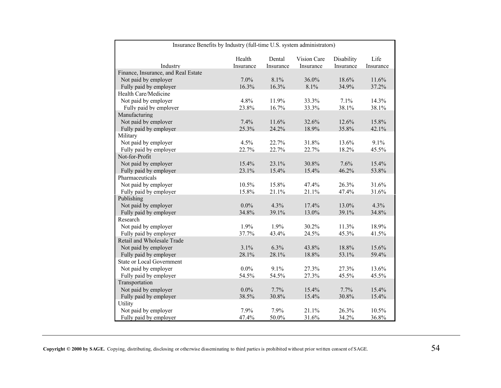| Insurance Benefits by Industry (full-time U.S. system administrators) |           |           |             |            |           |  |
|-----------------------------------------------------------------------|-----------|-----------|-------------|------------|-----------|--|
|                                                                       | Health    | Dental    | Vision Care | Disability | Life      |  |
| Industry                                                              | Insurance | Insurance | Insurance   | Insurance  | Insurance |  |
| Finance, Insurance, and Real Estate                                   |           |           |             |            |           |  |
| Not paid by employer                                                  | 7.0%      | 8.1%      | 36.0%       | 18.6%      | 11.6%     |  |
| Fully paid by employer                                                | 16.3%     | 16.3%     | 8.1%        | 34.9%      | 37.2%     |  |
| Health Care/Medicine                                                  |           |           |             |            |           |  |
| Not paid by employer                                                  | 4.8%      | 11.9%     | 33.3%       | 7.1%       | 14.3%     |  |
| Fully paid by employer                                                | 23.8%     | 16.7%     | 33.3%       | 38.1%      | 38.1%     |  |
| Manufacturing                                                         |           |           |             |            |           |  |
| Not paid by employer                                                  | 7.4%      | 11.6%     | 32.6%       | 12.6%      | 15.8%     |  |
| Fully paid by employer                                                | 25.3%     | 24.2%     | 18.9%       | 35.8%      | 42.1%     |  |
| Military                                                              |           |           |             |            |           |  |
| Not paid by employer                                                  | 4.5%      | 22.7%     | 31.8%       | 13.6%      | 9.1%      |  |
| Fully paid by employer                                                | 22.7%     | 22.7%     | 22.7%       | 18.2%      | 45.5%     |  |
| Not-for-Profit                                                        |           |           |             |            |           |  |
| Not paid by employer                                                  | 15.4%     | 23.1%     | 30.8%       | 7.6%       | 15.4%     |  |
| Fully paid by employer                                                | 23.1%     | 15.4%     | 15.4%       | 46.2%      | 53.8%     |  |
| Pharmaceuticals                                                       |           |           |             |            |           |  |
| Not paid by employer                                                  | 10.5%     | 15.8%     | 47.4%       | 26.3%      | 31.6%     |  |
| Fully paid by employer                                                | 15.8%     | 21.1%     | 21.1%       | 47.4%      | 31.6%     |  |
| Publishing                                                            |           |           |             |            |           |  |
| Not paid by employer                                                  | $0.0\%$   | 4.3%      | 17.4%       | 13.0%      | 4.3%      |  |
| Fully paid by employer                                                | 34.8%     | 39.1%     | 13.0%       | 39.1%      | 34.8%     |  |
| Research                                                              |           |           |             |            |           |  |
| Not paid by employer                                                  | 1.9%      | 1.9%      | 30.2%       | 11.3%      | 18.9%     |  |
| Fully paid by employer                                                | 37.7%     | 43.4%     | 24.5%       | 45.3%      | 41.5%     |  |
| Retail and Wholesale Trade                                            |           |           |             |            |           |  |
| Not paid by employer                                                  | 3.1%      | 6.3%      | 43.8%       | 18.8%      | 15.6%     |  |
| Fully paid by employer                                                | 28.1%     | 28.1%     | 18.8%       | 53.1%      | 59.4%     |  |
| <b>State or Local Government</b>                                      |           |           |             |            |           |  |
| Not paid by employer                                                  | $0.0\%$   | 9.1%      | 27.3%       | 27.3%      | 13.6%     |  |
| Fully paid by employer                                                | 54.5%     | 54.5%     | 27.3%       | 45.5%      | 45.5%     |  |
| Transportation                                                        |           |           |             |            |           |  |
| Not paid by employer                                                  | $0.0\%$   | 7.7%      | 15.4%       | 7.7%       | 15.4%     |  |
| Fully paid by employer                                                | 38.5%     | 30.8%     | 15.4%       | 30.8%      | 15.4%     |  |
| Utility                                                               |           |           |             |            |           |  |
| Not paid by employer                                                  | 7.9%      | 7.9%      | 21.1%       | 26.3%      | 10.5%     |  |
| Fully paid by employer                                                | 47.4%     | 50.0%     | 31.6%       | 34.2%      | 36.8%     |  |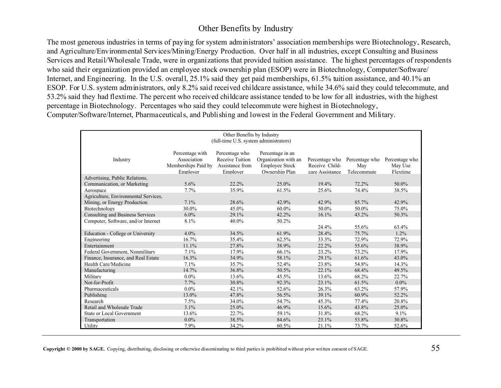#### Other Benefits by Industry

The most generous industries in terms of paying for system administrators' association memberships were Biotechnology, Research, and Agriculture/Environmental Services/Mining/Energy Production. Over half in all industries, except Consulting and Business Services and Retail/Wholesale Trade, were in organizations that provided tuition assistance. The highest percentages of respondents who said their organization provided an employee stock ownership plan (ESOP) were in Biotechnology, Computer/Software/ Internet, and Engineering. In the U.S. overall, 25.1% said they get paid memberships, 61.5% tuition assistance, and 40.1% an ESOP. For U.S. system administrators, only 8.2% said received childcare assistance, while 34.6% said they could telecommute, and 53.2% said they had flextime. The percent who received childcare assistance tended to be low for all industries, with the highest percentage in Biotechnology. Percentages who said they could telecommute were highest in Biotechnology, Computer/Software/Internet, Pharmaceuticals, and Publishing and lowest in the Federal Government and Military.

| Other Benefits by Industry<br>(full-time U.S. system administrators) |                                                                   |                                                                  |                                                                                     |                                                     |                                      |                                       |  |
|----------------------------------------------------------------------|-------------------------------------------------------------------|------------------------------------------------------------------|-------------------------------------------------------------------------------------|-----------------------------------------------------|--------------------------------------|---------------------------------------|--|
| Industry                                                             | Percentage with<br>Association<br>Memberships Paid by<br>Employer | Percentage who<br>Receive Tuition<br>Assistance from<br>Employer | Percentage in an<br>Organization with an<br><b>Employee Stock</b><br>Ownership Plan | Percentage who<br>Receive Child-<br>care Assistance | Percentage who<br>May<br>Telecommute | Percentage who<br>May Use<br>Flextime |  |
| Advertising, Public Relations.<br>Communication, or Marketing        | 5.6%                                                              | 22.2%                                                            | 25.0%                                                                               | 19.4%                                               | 72.2%                                | 50.0%                                 |  |
| Aerospace                                                            | 7.7%                                                              | 35.9%                                                            | 61.5%                                                                               | 25.6%                                               | 74.4%                                | 38.5%                                 |  |
| Agriculture, Environmental Services.<br>Mining, or Energy Production | 7.1%                                                              | 28.6%                                                            | 42.9%                                                                               | 42.9%                                               | 85.7%                                | 42.9%                                 |  |
| Biotechnology                                                        | 30.0%                                                             | 45.0%                                                            | $60.0\%$                                                                            | 50.0%                                               | 50.0%                                | 75.0%                                 |  |
| <b>Consulting and Business Services</b>                              | $6.0\%$                                                           | 29.1%                                                            | 42.2%                                                                               | 16.1%                                               | 43.2%                                | 50.3%                                 |  |
| Computer, Software, and/or Internet                                  | 8.1%                                                              | 40.0%                                                            | 50.2%                                                                               |                                                     |                                      |                                       |  |
|                                                                      |                                                                   |                                                                  |                                                                                     | 24.4%                                               | 55.6%                                | 63.4%                                 |  |
| Education - College or University                                    | $4.0\%$                                                           | 34.5%                                                            | 61.9%                                                                               | 28.4%                                               | 75.7%                                | 1.2%                                  |  |
| Engineering                                                          | 16.7%                                                             | 35.4%                                                            | 62.5%                                                                               | 33.3%                                               | 72.9%                                | 72.9%                                 |  |
| Entertainment                                                        | 11.1%                                                             | 27.8%                                                            | 38.9%                                                                               | 22.2%                                               | 55.6%                                | 38.9%                                 |  |
| Federal Government, Nonmilitary                                      | 7.1%                                                              | 17.9%                                                            | 66.1%                                                                               | 23.2%                                               | 73.2%                                | 17.9%                                 |  |
| Finance, Insurance, and Real Estate                                  | 16.3%                                                             | 34.9%                                                            | 58.1%                                                                               | 29.1%                                               | 61.6%                                | 43.0%                                 |  |
| Health Care/Medicine                                                 | 7.1%                                                              | 35.7%                                                            | 52.4%                                                                               | 23.8%                                               | 54.8%                                | 14.3%                                 |  |
| Manufacturing                                                        | 14.7%                                                             | 36.8%                                                            | 50.5%                                                                               | 22.1%                                               | 68.4%                                | 49.5%                                 |  |
| Military                                                             | $0.0\%$                                                           | 13.6%                                                            | 45.5%                                                                               | $13.6\%$                                            | 68.2%                                | 22.7%                                 |  |
| Not-for-Profit                                                       | 7.7%                                                              | 30.8%                                                            | 92.3%                                                                               | 23.1%                                               | 61.5%                                | $0.0\%$                               |  |
| Pharmaceuticals                                                      | $0.0\%$                                                           | 42.1%                                                            | 52.6%                                                                               | 26.3%                                               | 63.2%                                | 57.9%                                 |  |
| Publishing                                                           | 13.0%                                                             | 47.8%                                                            | 56.5%                                                                               | 39.1%                                               | 60.9%                                | 52.2%                                 |  |
| Research                                                             | 7.5%                                                              | 34.0%                                                            | 54.7%                                                                               | 45.3%                                               | 77.4%                                | 20.8%                                 |  |
| Retail and Wholesale Trade                                           | 3.1%                                                              | 25.0%                                                            | 46.9%                                                                               | 15.6%                                               | 43.8%                                | 25.0%                                 |  |
| <b>State or Local Government</b>                                     | 13.6%                                                             | 22.7%                                                            | 59.1%                                                                               | 31.8%                                               | 68.2%                                | 9.1%                                  |  |
| Transportation                                                       | $0.0\%$                                                           | 38.5%                                                            | 84.6%                                                                               | 23.1%                                               | 53.8%                                | 30.8%                                 |  |
| Utility                                                              | 7.9%                                                              | 34.2%                                                            | 60.5%                                                                               | 21.1%                                               | 73.7%                                | 52.6%                                 |  |